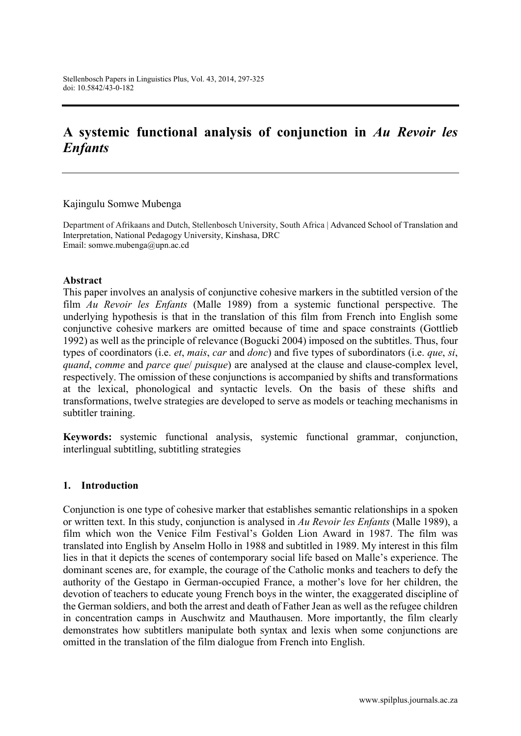# **A systemic functional analysis of conjunction in** *Au Revoir les Enfants*

Kajingulu Somwe Mubenga

Department of Afrikaans and Dutch, Stellenbosch University, South Africa | Advanced School of Translation and Interpretation, National Pedagogy University, Kinshasa, DRC Email: [somwe.mubenga@upn.ac.cd](mailto:somwe.mubenga@upn.ac.cd)

#### **Abstract**

This paper involves an analysis of conjunctive cohesive markers in the subtitled version of the film *Au Revoir les Enfants* (Malle 1989) from a systemic functional perspective. The underlying hypothesis is that in the translation of this film from French into English some conjunctive cohesive markers are omitted because of time and space constraints (Gottlieb 1992) as well as the principle of relevance (Bogucki 2004) imposed on the subtitles. Thus, four types of coordinators (i.e. *et*, *mais*, *car* and *donc*) and five types of subordinators (i.e. *que*, *si*, *quand*, *comme* and *parce que*/ *puisque*) are analysed at the clause and clause-complex level, respectively. The omission of these conjunctions is accompanied by shifts and transformations at the lexical, phonological and syntactic levels. On the basis of these shifts and transformations, twelve strategies are developed to serve as models or teaching mechanisms in subtitler training.

**Keywords:** systemic functional analysis, systemic functional grammar, conjunction, interlingual subtitling, subtitling strategies

#### **1. Introduction**

Conjunction is one type of cohesive marker that establishes semantic relationships in a spoken or written text. In this study, conjunction is analysed in *Au Revoir les Enfants* (Malle 1989), a film which won the Venice Film Festival's Golden Lion Award in 1987. The film was translated into English by Anselm Hollo in 1988 and subtitled in 1989. My interest in this film lies in that it depicts the scenes of contemporary social life based on Malle's experience. The dominant scenes are, for example, the courage of the Catholic monks and teachers to defy the authority of the Gestapo in German-occupied France, a mother's love for her children, the devotion of teachers to educate young French boys in the winter, the exaggerated discipline of the German soldiers, and both the arrest and death of Father Jean as well as the refugee children in concentration camps in Auschwitz and Mauthausen. More importantly, the film clearly demonstrates how subtitlers manipulate both syntax and lexis when some conjunctions are omitted in the translation of the film dialogue from French into English.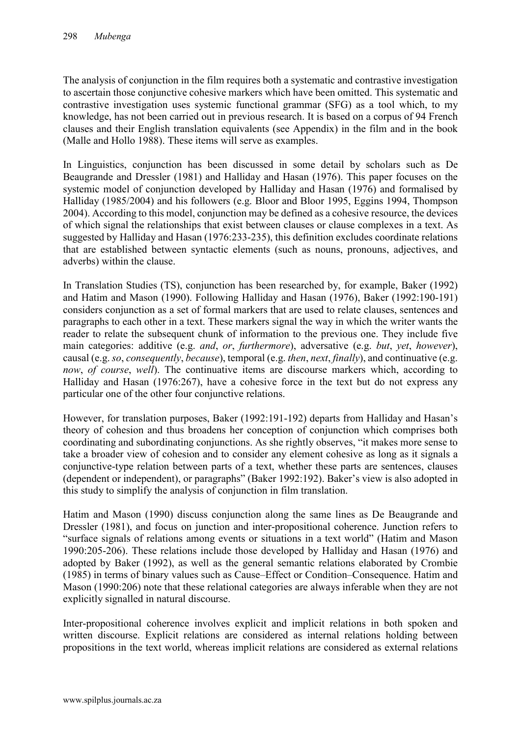The analysis of conjunction in the film requires both a systematic and contrastive investigation to ascertain those conjunctive cohesive markers which have been omitted. This systematic and contrastive investigation uses systemic functional grammar (SFG) as a tool which, to my knowledge, has not been carried out in previous research. It is based on a corpus of 94 French clauses and their English translation equivalents (see Appendix) in the film and in the book (Malle and Hollo 1988). These items will serve as examples.

In Linguistics, conjunction has been discussed in some detail by scholars such as De Beaugrande and Dressler (1981) and Halliday and Hasan (1976). This paper focuses on the systemic model of conjunction developed by Halliday and Hasan (1976) and formalised by Halliday (1985/2004) and his followers (e.g. Bloor and Bloor 1995, Eggins 1994, Thompson 2004). According to this model, conjunction may be defined as a cohesive resource, the devices of which signal the relationships that exist between clauses or clause complexes in a text. As suggested by Halliday and Hasan (1976:233-235), this definition excludes coordinate relations that are established between syntactic elements (such as nouns, pronouns, adjectives, and adverbs) within the clause.

In Translation Studies (TS), conjunction has been researched by, for example, Baker (1992) and Hatim and Mason (1990). Following Halliday and Hasan (1976), Baker (1992:190-191) considers conjunction as a set of formal markers that are used to relate clauses, sentences and paragraphs to each other in a text. These markers signal the way in which the writer wants the reader to relate the subsequent chunk of information to the previous one. They include five main categories: additive (e.g. *and*, *or*, *furthermore*), adversative (e.g. *but*, *yet*, *however*), causal (e.g. *so*, *consequently*, *because*), temporal (e.g. *then*, *next*, *finally*), and continuative (e.g. *now*, *of course*, *well*). The continuative items are discourse markers which, according to Halliday and Hasan (1976:267), have a cohesive force in the text but do not express any particular one of the other four conjunctive relations.

However, for translation purposes, Baker (1992:191-192) departs from Halliday and Hasan's theory of cohesion and thus broadens her conception of conjunction which comprises both coordinating and subordinating conjunctions. As she rightly observes, "it makes more sense to take a broader view of cohesion and to consider any element cohesive as long as it signals a conjunctive-type relation between parts of a text, whether these parts are sentences, clauses (dependent or independent), or paragraphs" (Baker 1992:192). Baker's view is also adopted in this study to simplify the analysis of conjunction in film translation.

Hatim and Mason (1990) discuss conjunction along the same lines as De Beaugrande and Dressler (1981), and focus on junction and inter-propositional coherence. Junction refers to "surface signals of relations among events or situations in a text world" (Hatim and Mason 1990:205-206). These relations include those developed by Halliday and Hasan (1976) and adopted by Baker (1992), as well as the general semantic relations elaborated by Crombie (1985) in terms of binary values such as Cause–Effect or Condition–Consequence. Hatim and Mason (1990:206) note that these relational categories are always inferable when they are not explicitly signalled in natural discourse.

Inter-propositional coherence involves explicit and implicit relations in both spoken and written discourse. Explicit relations are considered as internal relations holding between propositions in the text world, whereas implicit relations are considered as external relations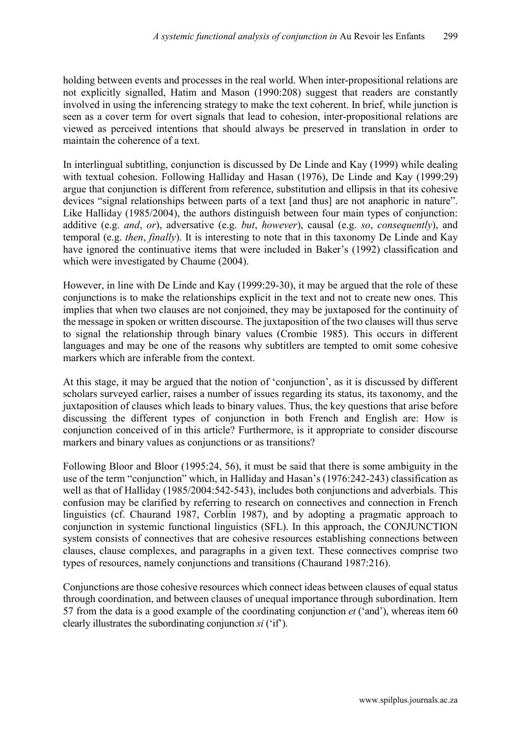holding between events and processes in the real world. When inter-propositional relations are not explicitly signalled, Hatim and Mason (1990:208) suggest that readers are constantly involved in using the inferencing strategy to make the text coherent. In brief, while junction is seen as a cover term for overt signals that lead to cohesion, inter-propositional relations are viewed as perceived intentions that should always be preserved in translation in order to maintain the coherence of a text.

In interlingual subtitling, conjunction is discussed by De Linde and Kay (1999) while dealing with textual cohesion. Following Halliday and Hasan (1976), De Linde and Kay (1999:29) argue that conjunction is different from reference, substitution and ellipsis in that its cohesive devices "signal relationships between parts of a text [and thus] are not anaphoric in nature". Like Halliday (1985/2004), the authors distinguish between four main types of conjunction: additive (e.g. *and*, *or*), adversative (e.g. *but*, *however*), causal (e.g. *so*, *consequently*), and temporal (e.g. *then*, *finally*). It is interesting to note that in this taxonomy De Linde and Kay have ignored the continuative items that were included in Baker's (1992) classification and which were investigated by Chaume (2004).

However, in line with De Linde and Kay (1999:29-30), it may be argued that the role of these conjunctions is to make the relationships explicit in the text and not to create new ones. This implies that when two clauses are not conjoined, they may be juxtaposed for the continuity of the message in spoken or written discourse. The juxtaposition of the two clauses will thus serve to signal the relationship through binary values (Crombie 1985). This occurs in different languages and may be one of the reasons why subtitlers are tempted to omit some cohesive markers which are inferable from the context.

At this stage, it may be argued that the notion of 'conjunction', as it is discussed by different scholars surveyed earlier, raises a number of issues regarding its status, its taxonomy, and the juxtaposition of clauses which leads to binary values. Thus, the key questions that arise before discussing the different types of conjunction in both French and English are: How is conjunction conceived of in this article? Furthermore, is it appropriate to consider discourse markers and binary values as conjunctions or as transitions?

Following Bloor and Bloor (1995:24, 56), it must be said that there is some ambiguity in the use of the term "conjunction" which, in Halliday and Hasan's (1976:242-243) classification as well as that of Halliday (1985/2004:542-543), includes both conjunctions and adverbials. This confusion may be clarified by referring to research on connectives and connection in French linguistics (cf. Chaurand 1987, Corblin 1987), and by adopting a pragmatic approach to conjunction in systemic functional linguistics (SFL). In this approach, the CONJUNCTION system consists of connectives that are cohesive resources establishing connections between clauses, clause complexes, and paragraphs in a given text. These connectives comprise two types of resources, namely conjunctions and transitions (Chaurand 1987:216).

Conjunctions are those cohesive resources which connect ideas between clauses of equal status through coordination, and between clauses of unequal importance through subordination. Item 57 from the data is a good example of the coordinating conjunction *et* ('and'), whereas item 60 clearly illustrates the subordinating conjunction *si* ('if').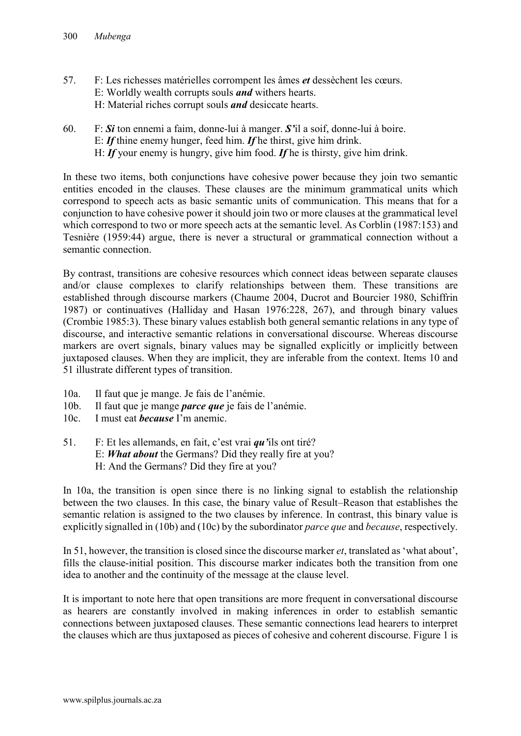- 57. F: Les richesses matérielles corrompent les âmes *et* dessèchent les cœurs. E: Worldly wealth corrupts souls *and* withers hearts. H: Material riches corrupt souls *and* desiccate hearts.
- 60. F: *Si* ton ennemi a faim, donne-lui à manger. *S'*il a soif, donne-lui à boire. E: *If* thine enemy hunger, feed him. *If* he thirst, give him drink. H: *If* your enemy is hungry, give him food. *If* he is thirsty, give him drink.

In these two items, both conjunctions have cohesive power because they join two semantic entities encoded in the clauses. These clauses are the minimum grammatical units which correspond to speech acts as basic semantic units of communication. This means that for a conjunction to have cohesive power it should join two or more clauses at the grammatical level which correspond to two or more speech acts at the semantic level. As Corblin (1987:153) and Tesnière (1959:44) argue, there is never a structural or grammatical connection without a semantic connection.

By contrast, transitions are cohesive resources which connect ideas between separate clauses and/or clause complexes to clarify relationships between them. These transitions are established through discourse markers (Chaume 2004, Ducrot and Bourcier 1980, Schiffrin 1987) or continuatives (Halliday and Hasan 1976:228, 267), and through binary values (Crombie 1985:3). These binary values establish both general semantic relations in any type of discourse, and interactive semantic relations in conversational discourse. Whereas discourse markers are overt signals, binary values may be signalled explicitly or implicitly between juxtaposed clauses. When they are implicit, they are inferable from the context. Items 10 and 51 illustrate different types of transition.

- 10a. Il faut que je mange. Je fais de l'anémie.
- 10b. Il faut que je mange *parce que* je fais de l'anémie.
- 10c. I must eat *because* I'm anemic.
- 51. F: Et les allemands, en fait, c'est vrai *qu'*ils ont tiré? E: *What about* the Germans? Did they really fire at you? H: And the Germans? Did they fire at you?

In 10a, the transition is open since there is no linking signal to establish the relationship between the two clauses. In this case, the binary value of Result–Reason that establishes the semantic relation is assigned to the two clauses by inference. In contrast, this binary value is explicitly signalled in (10b) and (10c) by the subordinator *parce que* and *because*, respectively.

In 51, however, the transition is closed since the discourse marker *et*, translated as 'what about', fills the clause-initial position. This discourse marker indicates both the transition from one idea to another and the continuity of the message at the clause level.

It is important to note here that open transitions are more frequent in conversational discourse as hearers are constantly involved in making inferences in order to establish semantic connections between juxtaposed clauses. These semantic connections lead hearers to interpret the clauses which are thus juxtaposed as pieces of cohesive and coherent discourse. Figure 1 is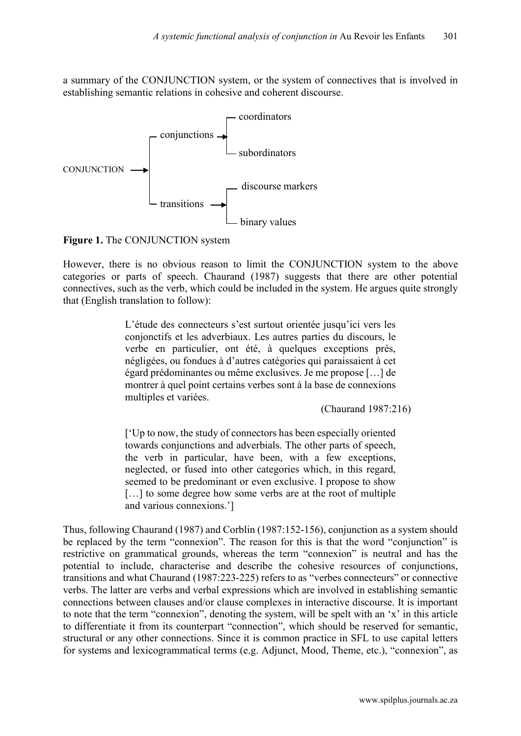a summary of the CONJUNCTION system, or the system of connectives that is involved in establishing semantic relations in cohesive and coherent discourse.



**Figure 1.** The CONJUNCTION system

However, there is no obvious reason to limit the CONJUNCTION system to the above categories or parts of speech. Chaurand (1987) suggests that there are other potential connectives, such as the verb, which could be included in the system. He argues quite strongly that (English translation to follow):

> L'étude des connecteurs s'est surtout orientée jusqu'ici vers les conjonctifs et les adverbiaux. Les autres parties du discours, le verbe en particulier, ont été, à quelques exceptions près, négligées, ou fondues à d'autres catégories qui paraissaient à cet égard prédominantes ou même exclusives. Je me propose […] de montrer à quel point certains verbes sont à la base de connexions multiples et variées.

(Chaurand 1987:216)

['Up to now, the study of connectors has been especially oriented towards conjunctions and adverbials. The other parts of speech, the verb in particular, have been, with a few exceptions, neglected, or fused into other categories which, in this regard, seemed to be predominant or even exclusive. I propose to show [...] to some degree how some verbs are at the root of multiple and various connexions.']

Thus, following Chaurand (1987) and Corblin (1987:152-156), conjunction as a system should be replaced by the term "connexion". The reason for this is that the word "conjunction" is restrictive on grammatical grounds, whereas the term "connexion" is neutral and has the potential to include, characterise and describe the cohesive resources of conjunctions, transitions and what Chaurand (1987:223-225) refers to as "verbes connecteurs" or connective verbs. The latter are verbs and verbal expressions which are involved in establishing semantic connections between clauses and/or clause complexes in interactive discourse. It is important to note that the term "connexion", denoting the system, will be spelt with an 'x' in this article to differentiate it from its counterpart "connection", which should be reserved for semantic, structural or any other connections. Since it is common practice in SFL to use capital letters for systems and lexicogrammatical terms (e.g. Adjunct, Mood, Theme, etc.), "connexion", as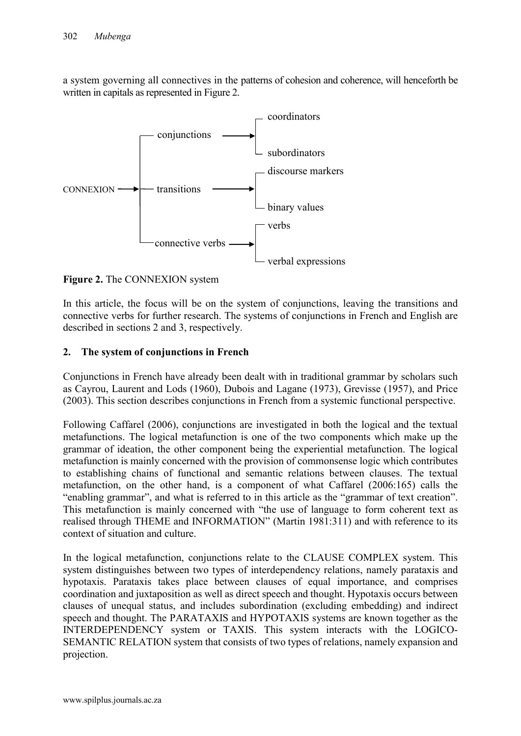a system governing all connectives in the patterns of cohesion and coherence, will henceforth be written in capitals as represented in Figure 2.



**Figure 2.** The CONNEXION system

In this article, the focus will be on the system of conjunctions, leaving the transitions and connective verbs for further research. The systems of conjunctions in French and English are described in sections 2 and 3, respectively.

## **2. The system of conjunctions in French**

Conjunctions in French have already been dealt with in traditional grammar by scholars such as Cayrou, Laurent and Lods (1960), Dubois and Lagane (1973), Grevisse (1957), and Price (2003). This section describes conjunctions in French from a systemic functional perspective.

Following Caffarel (2006), conjunctions are investigated in both the logical and the textual metafunctions. The logical metafunction is one of the two components which make up the grammar of ideation, the other component being the experiential metafunction. The logical metafunction is mainly concerned with the provision of commonsense logic which contributes to establishing chains of functional and semantic relations between clauses. The textual metafunction, on the other hand, is a component of what Caffarel (2006:165) calls the "enabling grammar", and what is referred to in this article as the "grammar of text creation". This metafunction is mainly concerned with "the use of language to form coherent text as realised through THEME and INFORMATION" (Martin 1981:311) and with reference to its context of situation and culture.

In the logical metafunction, conjunctions relate to the CLAUSE COMPLEX system. This system distinguishes between two types of interdependency relations, namely parataxis and hypotaxis. Parataxis takes place between clauses of equal importance, and comprises coordination and juxtaposition as well as direct speech and thought. Hypotaxis occurs between clauses of unequal status, and includes subordination (excluding embedding) and indirect speech and thought. The PARATAXIS and HYPOTAXIS systems are known together as the INTERDEPENDENCY system or TAXIS. This system interacts with the LOGICO-SEMANTIC RELATION system that consists of two types of relations, namely expansion and projection.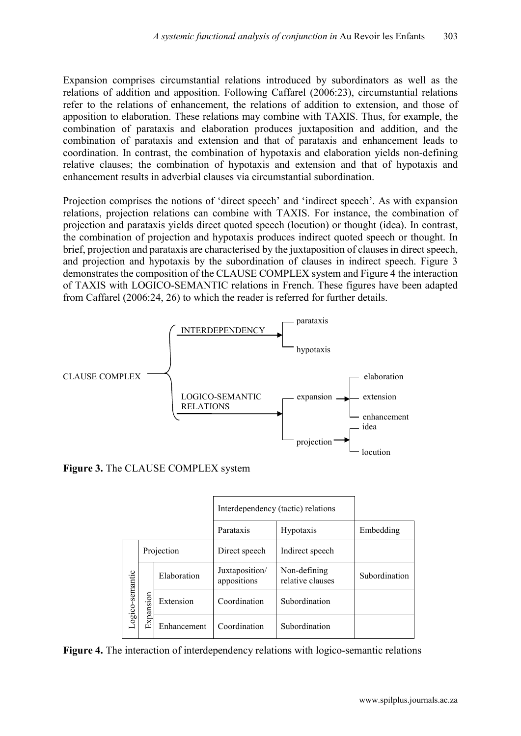Expansion comprises circumstantial relations introduced by subordinators as well as the relations of addition and apposition. Following Caffarel (2006:23), circumstantial relations refer to the relations of enhancement, the relations of addition to extension, and those of apposition to elaboration. These relations may combine with TAXIS. Thus, for example, the combination of parataxis and elaboration produces juxtaposition and addition, and the combination of parataxis and extension and that of parataxis and enhancement leads to coordination. In contrast, the combination of hypotaxis and elaboration yields non-defining relative clauses; the combination of hypotaxis and extension and that of hypotaxis and enhancement results in adverbial clauses via circumstantial subordination.

Projection comprises the notions of 'direct speech' and 'indirect speech'. As with expansion relations, projection relations can combine with TAXIS. For instance, the combination of projection and parataxis yields direct quoted speech (locution) or thought (idea). In contrast, the combination of projection and hypotaxis produces indirect quoted speech or thought. In brief, projection and parataxis are characterised by the juxtaposition of clauses in direct speech, and projection and hypotaxis by the subordination of clauses in indirect speech. Figure 3 demonstrates the composition of the CLAUSE COMPLEX system and Figure 4 the interaction of TAXIS with LOGICO-SEMANTIC relations in French. These figures have been adapted from Caffarel (2006:24, 26) to which the reader is referred for further details.



**Figure 3.** The CLAUSE COMPLEX system

|                 |           |             | Interdependency (tactic) relations |                                  |               |
|-----------------|-----------|-------------|------------------------------------|----------------------------------|---------------|
|                 |           |             | Parataxis                          | Hypotaxis                        | Embedding     |
|                 |           | Projection  | Direct speech                      | Indirect speech                  |               |
| Logico-semantic |           | Elaboration | Juxtaposition/<br>appositions      | Non-defining<br>relative clauses | Subordination |
|                 | Expansion | Extension   | Coordination                       | Subordination                    |               |
|                 |           | Enhancement | Coordination                       | Subordination                    |               |

**Figure 4.** The interaction of interdependency relations with logico-semantic relations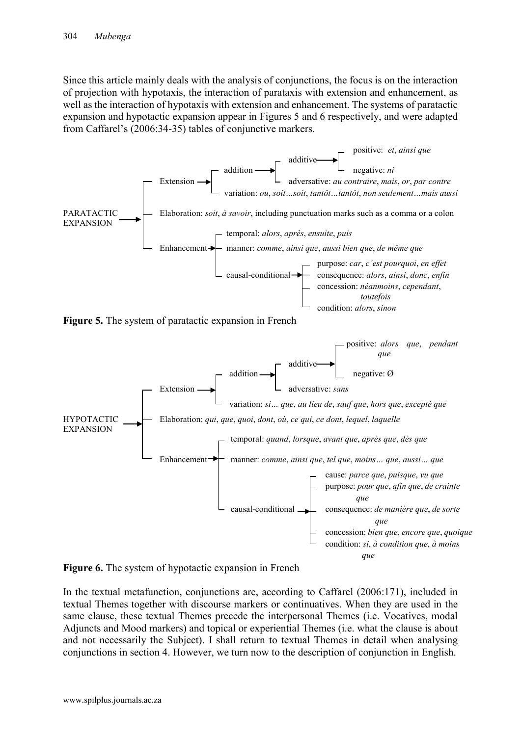Since this article mainly deals with the analysis of conjunctions, the focus is on the interaction of projection with hypotaxis, the interaction of parataxis with extension and enhancement, as well as the interaction of hypotaxis with extension and enhancement. The systems of paratactic expansion and hypotactic expansion appear in Figures 5 and 6 respectively, and were adapted from Caffarel's (2006:34-35) tables of conjunctive markers.







In the textual metafunction, conjunctions are, according to Caffarel (2006:171), included in textual Themes together with discourse markers or continuatives. When they are used in the same clause, these textual Themes precede the interpersonal Themes (i.e. Vocatives, modal Adjuncts and Mood markers) and topical or experiential Themes (i.e. what the clause is about and not necessarily the Subject). I shall return to textual Themes in detail when analysing conjunctions in section 4. However, we turn now to the description of conjunction in English.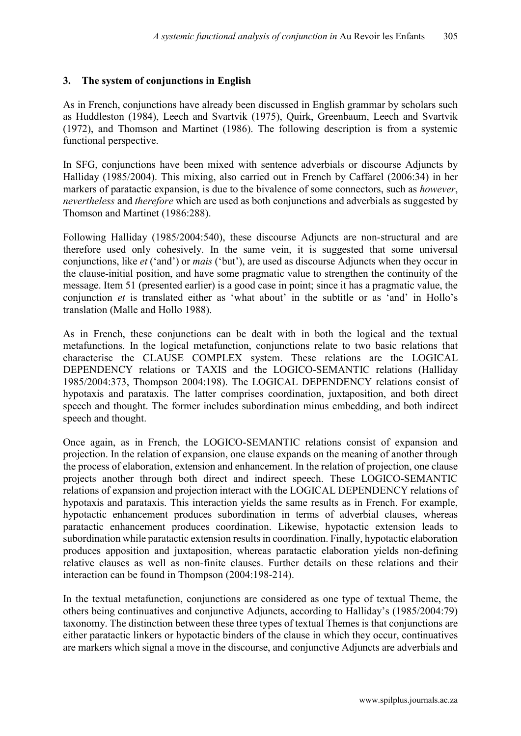## **3. The system of conjunctions in English**

As in French, conjunctions have already been discussed in English grammar by scholars such as Huddleston (1984), Leech and Svartvik (1975), Quirk, Greenbaum, Leech and Svartvik (1972), and Thomson and Martinet (1986). The following description is from a systemic functional perspective.

In SFG, conjunctions have been mixed with sentence adverbials or discourse Adjuncts by Halliday (1985/2004). This mixing, also carried out in French by Caffarel (2006:34) in her markers of paratactic expansion, is due to the bivalence of some connectors, such as *however*, *nevertheless* and *therefore* which are used as both conjunctions and adverbials as suggested by Thomson and Martinet (1986:288).

Following Halliday (1985/2004:540), these discourse Adjuncts are non-structural and are therefore used only cohesively. In the same vein, it is suggested that some universal conjunctions, like *et* ('and') or *mais* ('but'), are used as discourse Adjuncts when they occur in the clause-initial position, and have some pragmatic value to strengthen the continuity of the message. Item 51 (presented earlier) is a good case in point; since it has a pragmatic value, the conjunction *et* is translated either as 'what about' in the subtitle or as 'and' in Hollo's translation (Malle and Hollo 1988).

As in French, these conjunctions can be dealt with in both the logical and the textual metafunctions. In the logical metafunction, conjunctions relate to two basic relations that characterise the CLAUSE COMPLEX system. These relations are the LOGICAL DEPENDENCY relations or TAXIS and the LOGICO-SEMANTIC relations (Halliday 1985/2004:373, Thompson 2004:198). The LOGICAL DEPENDENCY relations consist of hypotaxis and parataxis. The latter comprises coordination, juxtaposition, and both direct speech and thought. The former includes subordination minus embedding, and both indirect speech and thought.

Once again, as in French, the LOGICO-SEMANTIC relations consist of expansion and projection. In the relation of expansion, one clause expands on the meaning of another through the process of elaboration, extension and enhancement. In the relation of projection, one clause projects another through both direct and indirect speech. These LOGICO-SEMANTIC relations of expansion and projection interact with the LOGICAL DEPENDENCY relations of hypotaxis and parataxis. This interaction yields the same results as in French. For example, hypotactic enhancement produces subordination in terms of adverbial clauses, whereas paratactic enhancement produces coordination. Likewise, hypotactic extension leads to subordination while paratactic extension results in coordination. Finally, hypotactic elaboration produces apposition and juxtaposition, whereas paratactic elaboration yields non-defining relative clauses as well as non-finite clauses. Further details on these relations and their interaction can be found in Thompson (2004:198-214).

In the textual metafunction, conjunctions are considered as one type of textual Theme, the others being continuatives and conjunctive Adjuncts, according to Halliday's (1985/2004:79) taxonomy. The distinction between these three types of textual Themes is that conjunctions are either paratactic linkers or hypotactic binders of the clause in which they occur, continuatives are markers which signal a move in the discourse, and conjunctive Adjuncts are adverbials and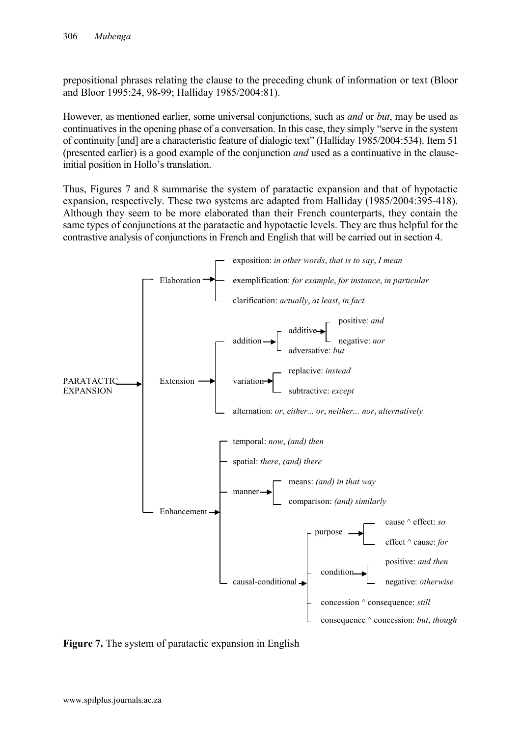prepositional phrases relating the clause to the preceding chunk of information or text (Bloor and Bloor 1995:24, 98-99; Halliday 1985/2004:81).

However, as mentioned earlier, some universal conjunctions, such as *and* or *but*, may be used as continuatives in the opening phase of a conversation. In this case, they simply "serve in the system of continuity [and] are a characteristic feature of dialogic text" (Halliday 1985/2004:534). Item 51 (presented earlier) is a good example of the conjunction *and* used as a continuative in the clauseinitial position in Hollo's translation.

Thus, Figures 7 and 8 summarise the system of paratactic expansion and that of hypotactic expansion, respectively. These two systems are adapted from Halliday (1985/2004:395-418). Although they seem to be more elaborated than their French counterparts, they contain the same types of conjunctions at the paratactic and hypotactic levels. They are thus helpful for the contrastive analysis of conjunctions in French and English that will be carried out in section 4.



**Figure 7.** The system of paratactic expansion in English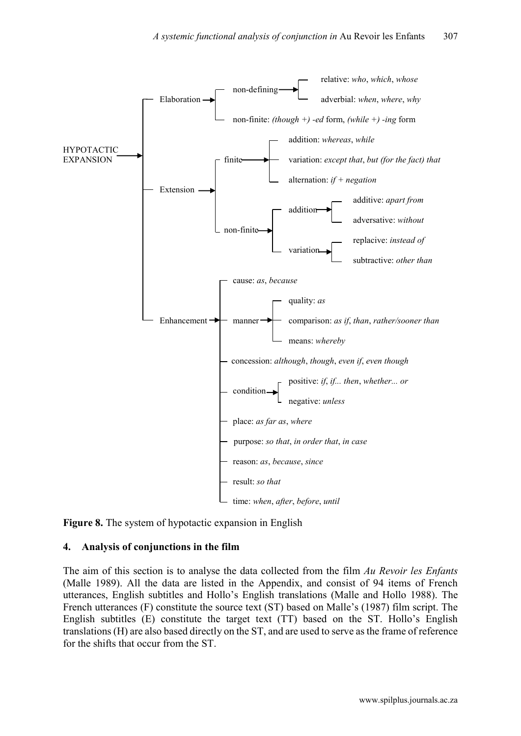

**Figure 8.** The system of hypotactic expansion in English

#### **4. Analysis of conjunctions in the film**

The aim of this section is to analyse the data collected from the film *Au Revoir les Enfants* (Malle 1989). All the data are listed in the Appendix, and consist of 94 items of French utterances, English subtitles and Hollo's English translations (Malle and Hollo 1988). The French utterances (F) constitute the source text (ST) based on Malle's (1987) film script. The English subtitles (E) constitute the target text (TT) based on the ST. Hollo's English translations(H) are also based directly on the ST, and are used to serve as the frame of reference for the shifts that occur from the ST.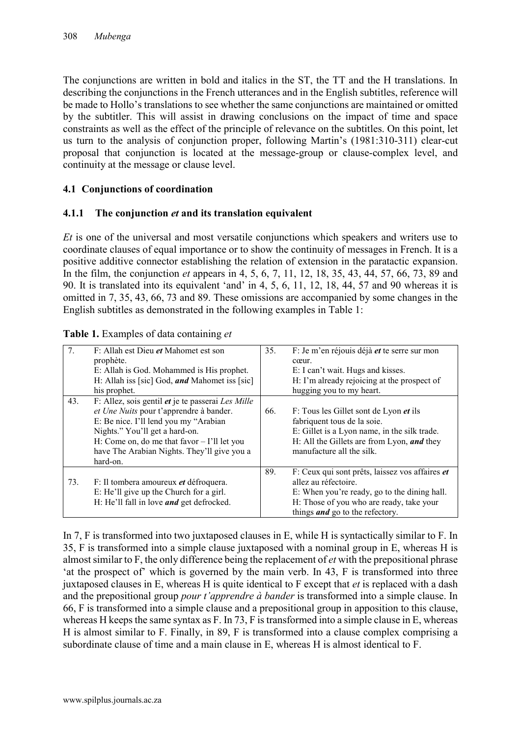The conjunctions are written in bold and italics in the ST, the TT and the H translations. In describing the conjunctions in the French utterances and in the English subtitles, reference will be made to Hollo's translations to see whether the same conjunctions are maintained or omitted by the subtitler. This will assist in drawing conclusions on the impact of time and space constraints as well as the effect of the principle of relevance on the subtitles. On this point, let us turn to the analysis of conjunction proper, following Martin's (1981:310-311) clear-cut proposal that conjunction is located at the message-group or clause-complex level, and continuity at the message or clause level.

## **4.1 Conjunctions of coordination**

## **4.1.1 The conjunction** *et* **and its translation equivalent**

*Et* is one of the universal and most versatile conjunctions which speakers and writers use to coordinate clauses of equal importance or to show the continuity of messages in French. It is a positive additive connector establishing the relation of extension in the paratactic expansion. In the film, the conjunction *et* appears in 4, 5, 6, 7, 11, 12, 18, 35, 43, 44, 57, 66, 73, 89 and 90. It is translated into its equivalent 'and' in 4, 5, 6, 11, 12, 18, 44, 57 and 90 whereas it is omitted in 7, 35, 43, 66, 73 and 89. These omissions are accompanied by some changes in the English subtitles as demonstrated in the following examples in Table 1:

|     | F: Allah est Dieu <i>et</i> Mahomet est son<br>prophète.<br>E: Allah is God. Mohammed is His prophet.<br>H: Allah iss [sic] God, and Mahomet iss [sic]<br>his prophet.                                                                                                                             | 35. | F: Je m'en réjouis déjà et te serre sur mon<br>cœur.<br>E: I can't wait. Hugs and kisses.<br>H: I'm already rejoicing at the prospect of<br>hugging you to my heart.                                          |
|-----|----------------------------------------------------------------------------------------------------------------------------------------------------------------------------------------------------------------------------------------------------------------------------------------------------|-----|---------------------------------------------------------------------------------------------------------------------------------------------------------------------------------------------------------------|
| 43. | F: Allez, sois gentil <i>et</i> je te passerai <i>Les Mille</i><br>et Une Nuits pour t'apprendre à bander.<br>E: Be nice. I'll lend you my "Arabian"<br>Nights." You'll get a hard-on.<br>H: Come on, do me that favor $-$ I'll let you<br>have The Arabian Nights. They'll give you a<br>hard-on. | 66. | F: Tous les Gillet sont de Lyon <i>et</i> ils<br>fabriquent tous de la soie.<br>E: Gillet is a Lyon name, in the silk trade.<br>H: All the Gillets are from Lyon, and they<br>manufacture all the silk.       |
| 73. | F: Il tombera amoureux <i>et</i> défroquera.<br>E: He'll give up the Church for a girl.<br>H: He'll fall in love <i>and</i> get defrocked.                                                                                                                                                         | 89. | F: Ceux qui sont prêts, laissez vos affaires et<br>allez au réfectoire.<br>E: When you're ready, go to the dining hall.<br>H: Those of you who are ready, take your<br>things <i>and</i> go to the refectory. |

|  | Table 1. Examples of data containing et |  |
|--|-----------------------------------------|--|
|  |                                         |  |

In 7, F is transformed into two juxtaposed clauses in E, while H is syntactically similar to F. In 35, F is transformed into a simple clause juxtaposed with a nominal group in E, whereas H is almost similar to F, the only difference being the replacement of *et* with the prepositional phrase 'at the prospect of' which is governed by the main verb. In 43, F is transformed into three juxtaposed clauses in E, whereas H is quite identical to F except that *et* is replaced with a dash and the prepositional group *pour t'apprendre à bander* is transformed into a simple clause. In 66, F is transformed into a simple clause and a prepositional group in apposition to this clause, whereas H keeps the same syntax as F. In 73, F is transformed into a simple clause in E, whereas H is almost similar to F. Finally, in 89, F is transformed into a clause complex comprising a subordinate clause of time and a main clause in E, whereas H is almost identical to F.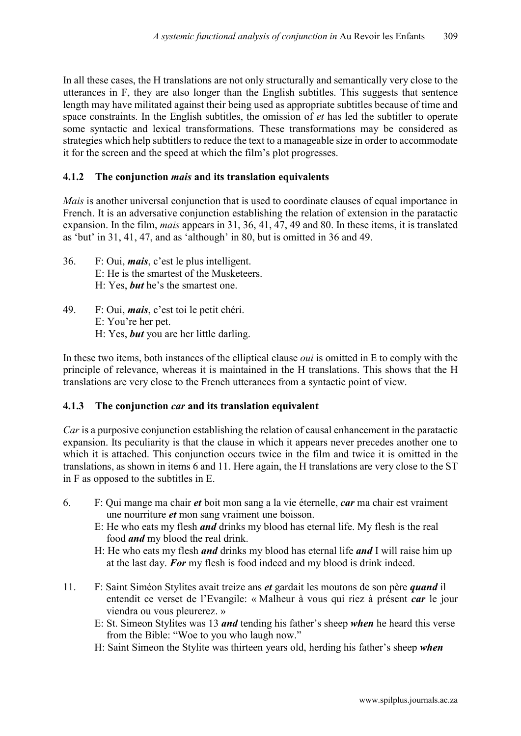In all these cases, the H translations are not only structurally and semantically very close to the utterances in F, they are also longer than the English subtitles. This suggests that sentence length may have militated against their being used as appropriate subtitles because of time and space constraints. In the English subtitles, the omission of *et* has led the subtitler to operate some syntactic and lexical transformations. These transformations may be considered as strategies which help subtitlers to reduce the text to a manageable size in order to accommodate it for the screen and the speed at which the film's plot progresses.

## **4.1.2 The conjunction** *mais* **and its translation equivalents**

*Mais* is another universal conjunction that is used to coordinate clauses of equal importance in French. It is an adversative conjunction establishing the relation of extension in the paratactic expansion. In the film, *mais* appears in 31, 36, 41, 47, 49 and 80. In these items, it is translated as 'but' in 31, 41, 47, and as 'although' in 80, but is omitted in 36 and 49.

- 36. F: Oui, *mais*, c'est le plus intelligent. E: He is the smartest of the Musketeers. H: Yes, *but* he's the smartest one.
- 49. F: Oui, *mais*, c'est toi le petit chéri. E: You're her pet. H: Yes, *but* you are her little darling.

In these two items, both instances of the elliptical clause *oui* is omitted in E to comply with the principle of relevance, whereas it is maintained in the H translations. This shows that the H translations are very close to the French utterances from a syntactic point of view.

#### **4.1.3 The conjunction** *car* **and its translation equivalent**

*Car* is a purposive conjunction establishing the relation of causal enhancement in the paratactic expansion. Its peculiarity is that the clause in which it appears never precedes another one to which it is attached. This conjunction occurs twice in the film and twice it is omitted in the translations, as shown in items 6 and 11. Here again, the H translations are very close to the ST in F as opposed to the subtitles in E.

- 6. F: Qui mange ma chair *et* boit mon sang a la vie éternelle, *car* ma chair est vraiment une nourriture *et* mon sang vraiment une boisson.
	- E: He who eats my flesh *and* drinks my blood has eternal life. My flesh is the real food *and* my blood the real drink.
	- H: He who eats my flesh *and* drinks my blood has eternal life *and* I will raise him up at the last day. *For* my flesh is food indeed and my blood is drink indeed.
- 11. F: Saint Siméon Stylites avait treize ans *et* gardait les moutons de son père *quand* il entendit ce verset de l'Evangile: « Malheur à vous qui riez à présent *car* le jour viendra ou vous pleurerez. »
	- E: St. Simeon Stylites was 13 *and* tending his father's sheep *when* he heard this verse from the Bible: "Woe to you who laugh now."
	- H: Saint Simeon the Stylite was thirteen years old, herding his father's sheep *when*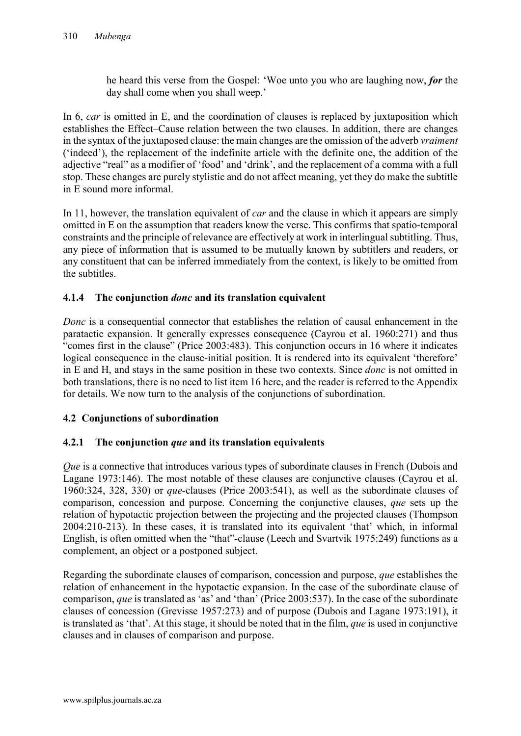he heard this verse from the Gospel: 'Woe unto you who are laughing now, *for* the day shall come when you shall weep.'

In 6, *car* is omitted in E, and the coordination of clauses is replaced by juxtaposition which establishes the Effect–Cause relation between the two clauses. In addition, there are changes in the syntax of the juxtaposed clause: the main changes are the omission of the adverb *vraiment* ('indeed'), the replacement of the indefinite article with the definite one, the addition of the adjective "real" as a modifier of 'food' and 'drink', and the replacement of a comma with a full stop. These changes are purely stylistic and do not affect meaning, yet they do make the subtitle in E sound more informal.

In 11, however, the translation equivalent of *car* and the clause in which it appears are simply omitted in E on the assumption that readers know the verse. This confirms that spatio-temporal constraints and the principle of relevance are effectively at work in interlingual subtitling. Thus, any piece of information that is assumed to be mutually known by subtitlers and readers, or any constituent that can be inferred immediately from the context, is likely to be omitted from the subtitles.

## **4.1.4 The conjunction** *donc* **and its translation equivalent**

*Donc* is a consequential connector that establishes the relation of causal enhancement in the paratactic expansion. It generally expresses consequence (Cayrou et al. 1960:271) and thus "comes first in the clause" (Price 2003:483). This conjunction occurs in 16 where it indicates logical consequence in the clause-initial position. It is rendered into its equivalent 'therefore' in E and H, and stays in the same position in these two contexts. Since *donc* is not omitted in both translations, there is no need to list item 16 here, and the reader is referred to the Appendix for details. We now turn to the analysis of the conjunctions of subordination.

## **4.2 Conjunctions of subordination**

## **4.2.1 The conjunction** *que* **and its translation equivalents**

*Que* is a connective that introduces various types of subordinate clauses in French (Dubois and Lagane 1973:146). The most notable of these clauses are conjunctive clauses (Cayrou et al. 1960:324, 328, 330) or *que-*clauses (Price 2003:541), as well as the subordinate clauses of comparison, concession and purpose. Concerning the conjunctive clauses, *que* sets up the relation of hypotactic projection between the projecting and the projected clauses (Thompson 2004:210-213). In these cases, it is translated into its equivalent 'that' which, in informal English, is often omitted when the "that"*-*clause (Leech and Svartvik 1975:249) functions as a complement, an object or a postponed subject.

Regarding the subordinate clauses of comparison, concession and purpose, *que* establishes the relation of enhancement in the hypotactic expansion. In the case of the subordinate clause of comparison, *que* is translated as 'as' and 'than' (Price 2003:537). In the case of the subordinate clauses of concession (Grevisse 1957:273) and of purpose (Dubois and Lagane 1973:191), it is translated as 'that'. At this stage, it should be noted that in the film, *que* is used in conjunctive clauses and in clauses of comparison and purpose.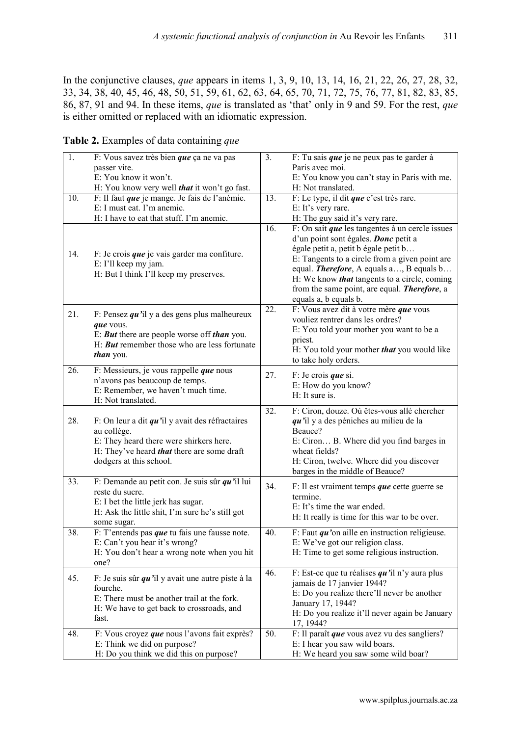In the conjunctive clauses, *que* appears in items 1, 3, 9, 10, 13, 14, 16, 21, 22, 26, 27, 28, 32, 33, 34, 38, 40, 45, 46, 48, 50, 51, 59, 61, 62, 63, 64, 65, 70, 71, 72, 75, 76, 77, 81, 82, 83, 85, 86, 87, 91 and 94. In these items, *que* is translated as 'that' only in 9 and 59. For the rest, *que* is either omitted or replaced with an idiomatic expression.

**Table 2.** Examples of data containing *que*

| 1.  | F: Vous savez très bien que ça ne va pas                                    | 3.  | F: Tu sais que je ne peux pas te garder à                                     |
|-----|-----------------------------------------------------------------------------|-----|-------------------------------------------------------------------------------|
|     | passer vite.                                                                |     | Paris avec moi.                                                               |
|     | E: You know it won't.                                                       |     | E: You know you can't stay in Paris with me.                                  |
|     | H: You know very well <i>that</i> it won't go fast.                         |     | H: Not translated.                                                            |
| 10. | F: Il faut que je mange. Je fais de l'anémie.                               | 13. | F: Le type, il dit que c'est très rare.                                       |
|     | E: I must eat. I'm anemic.                                                  |     | E: It's very rare.                                                            |
|     | H: I have to eat that stuff. I'm anemic.                                    |     | H: The guy said it's very rare.                                               |
|     |                                                                             | 16. | F: On sait que les tangentes à un cercle issues                               |
|     |                                                                             |     | d'un point sont égales. Donc petit a                                          |
|     |                                                                             |     | égale petit a, petit b égale petit b                                          |
| 14. | F: Je crois que je vais garder ma confiture.                                |     | E: Tangents to a circle from a given point are                                |
|     | E: I'll keep my jam.<br>H: But I think I'll keep my preserves.              |     | equal. Therefore, A equals a, B equals b                                      |
|     |                                                                             |     | H: We know <i>that</i> tangents to a circle, coming                           |
|     |                                                                             |     | from the same point, are equal. <b>Therefore</b> , a                          |
|     |                                                                             |     | equals a, b equals b.                                                         |
| 21. | F: Pensez $qu$ 'il y a des gens plus malheureux                             | 22. | F: Vous avez dit à votre mère que vous                                        |
|     | que vous.                                                                   |     | vouliez rentrer dans les ordres?                                              |
|     | E: <b>But</b> there are people worse off <i>than</i> you.                   |     | E: You told your mother you want to be a                                      |
|     | H: <b>But</b> remember those who are less fortunate                         |     | priest.                                                                       |
|     | <i>than</i> you.                                                            |     | H: You told your mother that you would like                                   |
|     |                                                                             |     | to take holy orders.                                                          |
| 26. | $\overline{F}$ : Messieurs, je vous rappelle <i>que</i> nous                | 27. | $F:$ Je crois <i>que</i> si.                                                  |
|     | n'avons pas beaucoup de temps.                                              |     | E: How do you know?                                                           |
|     | E: Remember, we haven't much time.                                          |     | H: It sure is.                                                                |
|     | H: Not translated.                                                          | 32. | F: Ciron, douze. Où êtes-vous allé chercher                                   |
| 28. | F: On leur a dit $qu$ 'il y avait des réfractaires                          |     | qu'il y a des péniches au milieu de la                                        |
|     | au collège.                                                                 |     | Beauce?                                                                       |
|     | E: They heard there were shirkers here.                                     |     | E: Ciron B. Where did you find barges in                                      |
|     | H: They've heard <i>that</i> there are some draft                           |     | wheat fields?                                                                 |
|     | dodgers at this school.                                                     |     | H: Ciron, twelve. Where did you discover                                      |
|     |                                                                             |     | barges in the middle of Beauce?                                               |
| 33. | F: Demande au petit con. Je suis sûr $qu$ 'il lui                           |     |                                                                               |
|     | reste du sucre.                                                             | 34. | F: Il est vraiment temps <i>que</i> cette guerre se<br>termine.               |
|     | E: I bet the little jerk has sugar.                                         |     | E: It's time the war ended.                                                   |
|     | H: Ask the little shit, I'm sure he's still got                             |     | H: It really is time for this war to be over.                                 |
|     | some sugar.                                                                 |     |                                                                               |
| 38. | F: T'entends pas que tu fais une fausse note.                               | 40. | F: Faut $qu$ 'on aille en instruction religieuse.                             |
|     | E: Can't you hear it's wrong?                                               |     | E: We've got our religion class.                                              |
|     | H: You don't hear a wrong note when you hit                                 |     | H: Time to get some religious instruction.                                    |
|     | one?                                                                        |     |                                                                               |
| 45. | F: Je suis sûr $qu$ 'il y avait une autre piste à la                        | 46. | F: Est-ce que tu réalises $qu$ 'il n'y aura plus                              |
|     | fourche.                                                                    |     | jamais de 17 janvier 1944?                                                    |
|     | E: There must be another trail at the fork.                                 |     | E: Do you realize there'll never be another                                   |
|     | H: We have to get back to crossroads, and                                   |     | January 17, 1944?                                                             |
|     | fast.                                                                       |     | H: Do you realize it'll never again be January                                |
|     |                                                                             |     | 17, 1944?                                                                     |
| 48. | F: Vous croyez que nous l'avons fait exprès?<br>E: Think we did on purpose? | 50. | F: Il paraît que vous avez vu des sangliers?<br>E: I hear you saw wild boars. |
|     | H: Do you think we did this on purpose?                                     |     | H: We heard you saw some wild boar?                                           |
|     |                                                                             |     |                                                                               |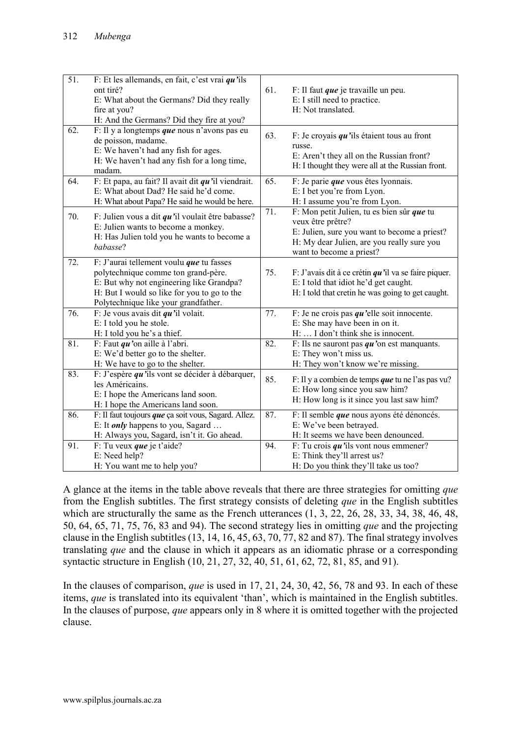| $\overline{51}$ . | F: Et les allemands, en fait, c'est vrai $qu$ 'ils<br>ont tiré?<br>E: What about the Germans? Did they really<br>fire at you?<br>H: And the Germans? Did they fire at you?                                         | 61. | F: Il faut que je travaille un peu.<br>E: I still need to practice.<br>H: Not translated.                                                                                                 |
|-------------------|--------------------------------------------------------------------------------------------------------------------------------------------------------------------------------------------------------------------|-----|-------------------------------------------------------------------------------------------------------------------------------------------------------------------------------------------|
| 62.               | F: Il y a longtemps que nous n'avons pas eu<br>de poisson, madame.<br>E: We haven't had any fish for ages.<br>H: We haven't had any fish for a long time,<br>madam.                                                | 63. | F: Je croyais $qu$ 'ils étaient tous au front<br>russe.<br>E: Aren't they all on the Russian front?<br>H: I thought they were all at the Russian front.                                   |
| 64.               | F: Et papa, au fait? Il avait dit $qu$ 'il viendrait.<br>E: What about Dad? He said he'd come.<br>H: What about Papa? He said he would be here.                                                                    | 65. | F: Je parie que vous êtes lyonnais.<br>E: I bet you're from Lyon.<br>H: I assume you're from Lyon.                                                                                        |
| 70.               | F: Julien vous a dit $qu$ 'il voulait être babasse?<br>E: Julien wants to become a monkey.<br>H: Has Julien told you he wants to become a<br>babasse?                                                              | 71. | F: Mon petit Julien, tu es bien sûr que tu<br>veux être prêtre?<br>E: Julien, sure you want to become a priest?<br>H: My dear Julien, are you really sure you<br>want to become a priest? |
| 72.               | F: J'aurai tellement voulu que tu fasses<br>polytechnique comme ton grand-père.<br>E: But why not engineering like Grandpa?<br>H: But I would so like for you to go to the<br>Polytechnique like your grandfather. | 75. | F: J'avais dit à ce crétin $qu$ 'il va se faire piquer.<br>E: I told that idiot he'd get caught.<br>H: I told that cretin he was going to get caught.                                     |
| 76.               | F: Je vous avais dit $qu$ 'il volait.<br>E: I told you he stole.<br>H: I told you he's a thief.                                                                                                                    | 77. | F: Je ne crois pas $qu$ 'elle soit innocente.<br>E: She may have been in on it.<br>H:  I don't think she is innocent.                                                                     |
| 81.               | F: Faut $qu$ 'on aille à l'abri.<br>E: We'd better go to the shelter.<br>H: We have to go to the shelter.                                                                                                          | 82. | F: Ils ne sauront pas $qu$ 'on est manquants.<br>E: They won't miss us.<br>H: They won't know we're missing.                                                                              |
| 83.               | F: J'espère $qu$ 'ils vont se décider à débarquer,<br>les Américains.<br>E: I hope the Americans land soon.<br>H: I hope the Americans land soon.                                                                  | 85. | F: Il y a combien de temps <i>que</i> tu ne l'as pas vu?<br>E: How long since you saw him?<br>H: How long is it since you last saw him?                                                   |
| 86.               | F: Il faut toujours que ça soit vous, Sagard. Allez.<br>E: It <i>only</i> happens to you, Sagard<br>H: Always you, Sagard, isn't it. Go ahead.                                                                     | 87. | F: Il semble que nous ayons été dénoncés.<br>E: We've been betrayed.<br>H: It seems we have been denounced.                                                                               |
| 91.               | F: Tu veux que je t'aide?<br>E: Need help?<br>H: You want me to help you?                                                                                                                                          | 94. | F: Tu crois $qu$ 'ils vont nous emmener?<br>E: Think they'll arrest us?<br>H: Do you think they'll take us too?                                                                           |

A glance at the items in the table above reveals that there are three strategies for omitting *que* from the English subtitles. The first strategy consists of deleting *que* in the English subtitles which are structurally the same as the French utterances  $(1, 3, 22, 26, 28, 33, 34, 38, 46, 48,$ 50, 64, 65, 71, 75, 76, 83 and 94). The second strategy lies in omitting *que* and the projecting clause in the English subtitles (13, 14, 16, 45, 63, 70, 77, 82 and 87). The final strategy involves translating *que* and the clause in which it appears as an idiomatic phrase or a corresponding syntactic structure in English (10, 21, 27, 32, 40, 51, 61, 62, 72, 81, 85, and 91).

In the clauses of comparison, *que* is used in 17, 21, 24, 30, 42, 56, 78 and 93. In each of these items, *que* is translated into its equivalent 'than', which is maintained in the English subtitles. In the clauses of purpose, *que* appears only in 8 where it is omitted together with the projected clause.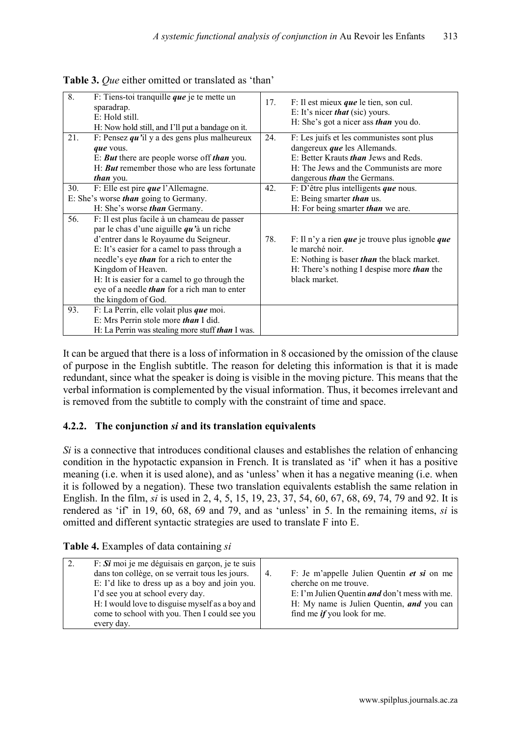| 8.  | F: Tiens-toi tranquille que je te mette un<br>sparadrap.<br>E: Hold still.<br>H: Now hold still, and I'll put a bandage on it.                                                                                                                                                                                                                                                                | 17. | $F: II$ est mieux <i>que</i> le tien, son cul.<br>E: It's nicer <i>that</i> (sic) yours.<br>H: She's got a nicer ass <i>than</i> you do.                                                                         |
|-----|-----------------------------------------------------------------------------------------------------------------------------------------------------------------------------------------------------------------------------------------------------------------------------------------------------------------------------------------------------------------------------------------------|-----|------------------------------------------------------------------------------------------------------------------------------------------------------------------------------------------------------------------|
| 21. | F: Pensez $qu$ 'il y a des gens plus malheureux<br>que vous.<br>E: <b>But</b> there are people worse off <i>than</i> you.<br>H: <b>But</b> remember those who are less fortunate<br><i>than</i> you.                                                                                                                                                                                          | 24. | F: Les juifs et les communistes sont plus<br>dangereux <i>que</i> les Allemands.<br>E: Better Krauts <i>than</i> Jews and Reds.<br>H: The Jews and the Communists are more<br>dangerous <i>than</i> the Germans. |
| 30. | F: Elle est pire $que$ l'Allemagne.<br>E: She's worse <i>than</i> going to Germany.<br>H: She's worse <i>than</i> Germany.                                                                                                                                                                                                                                                                    | 42. | F: D'être plus intelligents que nous.<br>E: Being smarter <i>than</i> us.<br>H: For being smarter <i>than</i> we are.                                                                                            |
| 56. | F: Il est plus facile à un chameau de passer<br>par le chas d'une aiguille $qu$ 'à un riche<br>d'entrer dans le Royaume du Seigneur.<br>E: It's easier for a camel to pass through a<br>needle's eye <i>than</i> for a rich to enter the<br>Kingdom of Heaven.<br>H: It is easier for a camel to go through the<br>eye of a needle <i>than</i> for a rich man to enter<br>the kingdom of God. | 78. | F: Il n'y a rien <i>que</i> je trouve plus ignoble <i>que</i><br>le marché noir.<br>E: Nothing is baser than the black market.<br>H: There's nothing I despise more <i>than</i> the<br>black market.             |
| 93. | F: La Perrin, elle volait plus que moi.<br>E: Mrs Perrin stole more <i>than</i> I did.<br>H: La Perrin was stealing more stuff <i>than</i> I was.                                                                                                                                                                                                                                             |     |                                                                                                                                                                                                                  |

**Table 3.** *Que* either omitted or translated as 'than'

It can be argued that there is a loss of information in 8 occasioned by the omission of the clause of purpose in the English subtitle. The reason for deleting this information is that it is made redundant, since what the speaker is doing is visible in the moving picture. This means that the verbal information is complemented by the visual information. Thus, it becomes irrelevant and is removed from the subtitle to comply with the constraint of time and space.

## **4.2.2. The conjunction** *si* **and its translation equivalents**

*Si* is a connective that introduces conditional clauses and establishes the relation of enhancing condition in the hypotactic expansion in French. It is translated as 'if' when it has a positive meaning (i.e. when it is used alone), and as 'unless' when it has a negative meaning (i.e. when it is followed by a negation). These two translation equivalents establish the same relation in English. In the film, *si* is used in 2, 4, 5, 15, 19, 23, 37, 54, 60, 67, 68, 69, 74, 79 and 92. It is rendered as 'if' in 19, 60, 68, 69 and 79, and as 'unless' in 5. In the remaining items, *si* is omitted and different syntactic strategies are used to translate F into E.

|  |  |  | Table 4. Examples of data containing si |  |
|--|--|--|-----------------------------------------|--|
|--|--|--|-----------------------------------------|--|

| $F: S\mathbf{i}$ moi je me déguisais en garçon, je te suis<br>dans ton collège, on se verrait tous les jours.<br>E: I'd like to dress up as a boy and join you.<br>I'd see you at school every day.<br>H: I would love to disguise myself as a boy and<br>come to school with you. Then I could see you | 4. | F: Je m'appelle Julien Quentin et si on me<br>cherche on me trouve.<br>E: I'm Julien Quentin <i>and</i> don't mess with me.<br>H: My name is Julien Quentin, and you can<br>find me <i>if</i> you look for me. |
|---------------------------------------------------------------------------------------------------------------------------------------------------------------------------------------------------------------------------------------------------------------------------------------------------------|----|----------------------------------------------------------------------------------------------------------------------------------------------------------------------------------------------------------------|
| every day.                                                                                                                                                                                                                                                                                              |    |                                                                                                                                                                                                                |
|                                                                                                                                                                                                                                                                                                         |    |                                                                                                                                                                                                                |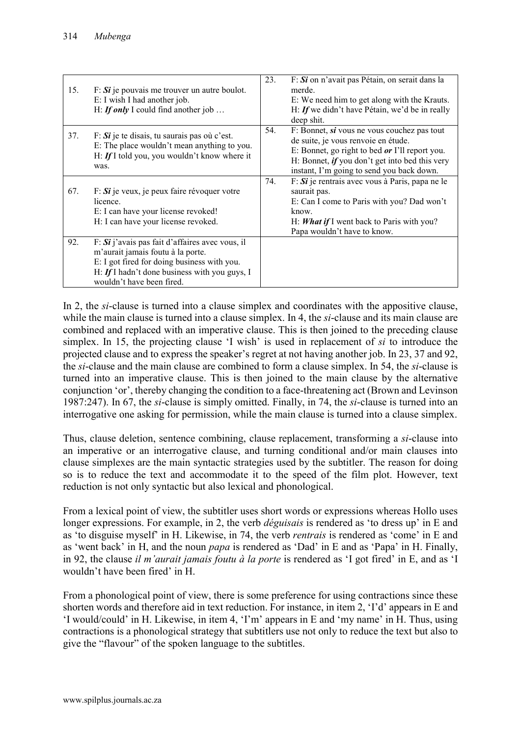| 15. | $F: Si$ je pouvais me trouver un autre boulot.<br>E: I wish I had another job.<br>H: If only I could find another job                                                                                               | 23. | F: Si on n'avait pas Pétain, on serait dans la<br>merde.<br>E: We need him to get along with the Krauts.<br>H: If we didn't have Pétain, we'd be in really<br>deep shit.                                                                   |
|-----|---------------------------------------------------------------------------------------------------------------------------------------------------------------------------------------------------------------------|-----|--------------------------------------------------------------------------------------------------------------------------------------------------------------------------------------------------------------------------------------------|
| 37. | $F: Si$ je te disais, tu saurais pas où c'est.<br>E: The place wouldn't mean anything to you.<br>H: If I told you, you wouldn't know where it<br>was.                                                               | 54. | F: Bonnet, si vous ne vous couchez pas tout<br>de suite, je vous renvoie en étude.<br>E: Bonnet, go right to bed or I'll report you.<br>H: Bonnet, <i>if</i> you don't get into bed this very<br>instant, I'm going to send you back down. |
| 67. | $F: Si$ je veux, je peux faire révoquer votre<br>licence.<br>E: I can have your license revoked!<br>H: I can have your license revoked.                                                                             | 74. | $F: Si$ je rentrais avec vous à Paris, papa ne le<br>saurait pas.<br>E: Can I come to Paris with you? Dad won't<br>know.<br>H: <i>What if</i> I went back to Paris with you?<br>Papa wouldn't have to know.                                |
| 92. | F: $Si$ j'avais pas fait d'affaires avec vous, il<br>m'aurait jamais foutu à la porte.<br>E: I got fired for doing business with you.<br>H: If I hadn't done business with you guys, I<br>wouldn't have been fired. |     |                                                                                                                                                                                                                                            |

In 2, the *si*-clause is turned into a clause simplex and coordinates with the appositive clause, while the main clause is turned into a clause simplex. In 4, the *si*-clause and its main clause are combined and replaced with an imperative clause. This is then joined to the preceding clause simplex. In 15, the projecting clause 'I wish' is used in replacement of *si* to introduce the projected clause and to express the speaker's regret at not having another job. In 23, 37 and 92, the *si*-clause and the main clause are combined to form a clause simplex. In 54, the *si*-clause is turned into an imperative clause. This is then joined to the main clause by the alternative conjunction 'or', thereby changing the condition to a face-threatening act (Brown and Levinson 1987:247). In 67, the *si*-clause is simply omitted. Finally, in 74, the *si*-clause is turned into an interrogative one asking for permission, while the main clause is turned into a clause simplex.

Thus, clause deletion, sentence combining, clause replacement, transforming a *si*-clause into an imperative or an interrogative clause, and turning conditional and/or main clauses into clause simplexes are the main syntactic strategies used by the subtitler. The reason for doing so is to reduce the text and accommodate it to the speed of the film plot. However, text reduction is not only syntactic but also lexical and phonological.

From a lexical point of view, the subtitler uses short words or expressions whereas Hollo uses longer expressions. For example, in 2, the verb *déguisais* is rendered as 'to dress up' in E and as 'to disguise myself' in H. Likewise, in 74, the verb *rentrais* is rendered as 'come' in E and as 'went back' in H, and the noun *papa* is rendered as 'Dad' in E and as 'Papa' in H. Finally, in 92, the clause *il m'aurait jamais foutu à la porte* is rendered as 'I got fired' in E, and as 'I wouldn't have been fired' in H.

From a phonological point of view, there is some preference for using contractions since these shorten words and therefore aid in text reduction. For instance, in item 2, 'I'd' appears in E and 'I would/could' in H. Likewise, in item 4, 'I'm' appears in E and 'my name' in H. Thus, using contractions is a phonological strategy that subtitlers use not only to reduce the text but also to give the "flavour" of the spoken language to the subtitles.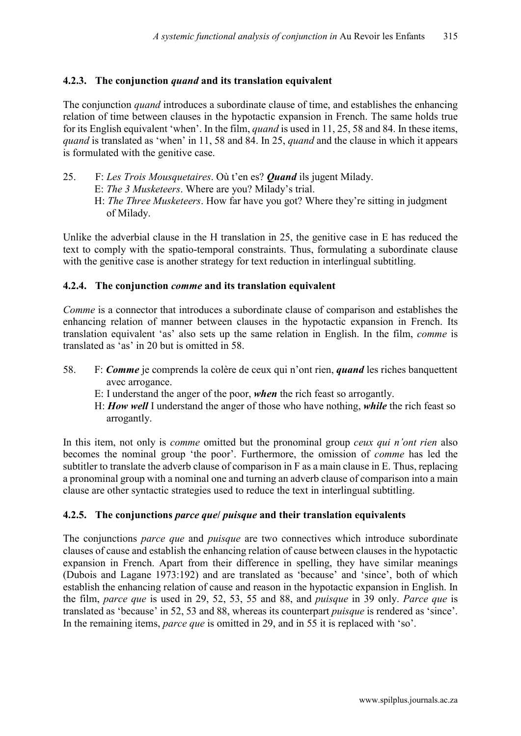## **4.2.3. The conjunction** *quand* **and its translation equivalent**

The conjunction *quand* introduces a subordinate clause of time, and establishes the enhancing relation of time between clauses in the hypotactic expansion in French. The same holds true for its English equivalent 'when'. In the film, *quand* is used in 11, 25, 58 and 84. In these items, *quand* is translated as 'when' in 11, 58 and 84. In 25, *quand* and the clause in which it appears is formulated with the genitive case.

- 25. F: *Les Trois Mousquetaires*. Où t'en es? *Quand* ils jugent Milady.
	- E: *The 3 Musketeers*. Where are you? Milady's trial.
	- H: *The Three Musketeers*. How far have you got? Where they're sitting in judgment of Milady.

Unlike the adverbial clause in the H translation in 25, the genitive case in E has reduced the text to comply with the spatio-temporal constraints. Thus, formulating a subordinate clause with the genitive case is another strategy for text reduction in interlingual subtitling.

#### **4.2.4. The conjunction** *comme* **and its translation equivalent**

*Comme* is a connector that introduces a subordinate clause of comparison and establishes the enhancing relation of manner between clauses in the hypotactic expansion in French. Its translation equivalent 'as' also sets up the same relation in English. In the film, *comme* is translated as 'as' in 20 but is omitted in 58.

- 58. F: *Comme* je comprends la colère de ceux qui n'ont rien, *quand* les riches banquettent avec arrogance.
	- E: I understand the anger of the poor, *when* the rich feast so arrogantly.
	- H: *How well* I understand the anger of those who have nothing, *while* the rich feast so arrogantly.

In this item, not only is *comme* omitted but the pronominal group *ceux qui n'ont rien* also becomes the nominal group 'the poor'. Furthermore, the omission of *comme* has led the subtitler to translate the adverb clause of comparison in F as a main clause in E. Thus, replacing a pronominal group with a nominal one and turning an adverb clause of comparison into a main clause are other syntactic strategies used to reduce the text in interlingual subtitling.

#### **4.2.5. The conjunctions** *parce que***/** *puisque* **and their translation equivalents**

The conjunctions *parce que* and *puisque* are two connectives which introduce subordinate clauses of cause and establish the enhancing relation of cause between clauses in the hypotactic expansion in French. Apart from their difference in spelling, they have similar meanings (Dubois and Lagane 1973:192) and are translated as 'because' and 'since', both of which establish the enhancing relation of cause and reason in the hypotactic expansion in English. In the film, *parce que* is used in 29, 52, 53, 55 and 88, and *puisque* in 39 only. *Parce que* is translated as 'because' in 52, 53 and 88, whereas its counterpart *puisque* is rendered as 'since'. In the remaining items, *parce que* is omitted in 29, and in 55 it is replaced with 'so'.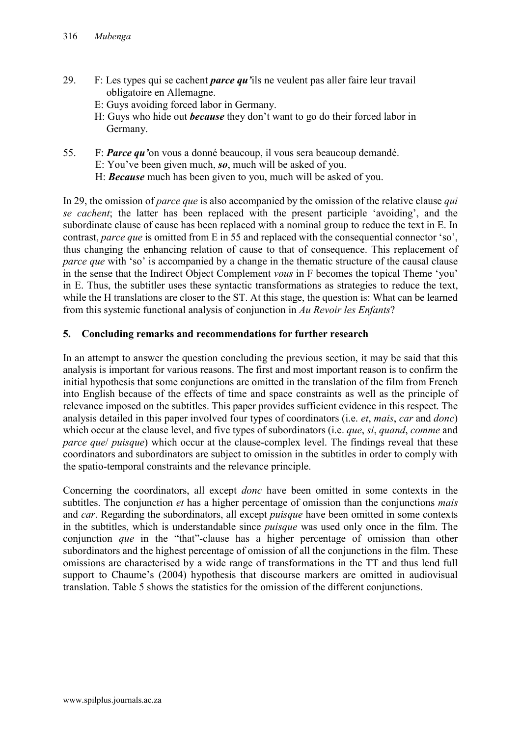- 29. F: Les types qui se cachent *parce qu'*ils ne veulent pas aller faire leur travail obligatoire en Allemagne.
	- E: Guys avoiding forced labor in Germany.
	- H: Guys who hide out *because* they don't want to go do their forced labor in Germany.
- 55. F: *Parce qu'*on vous a donné beaucoup, il vous sera beaucoup demandé.
	- E: You've been given much, *so*, much will be asked of you.
	- H: *Because* much has been given to you, much will be asked of you.

In 29, the omission of *parce que* is also accompanied by the omission of the relative clause *qui se cachent*; the latter has been replaced with the present participle 'avoiding', and the subordinate clause of cause has been replaced with a nominal group to reduce the text in E. In contrast, *parce que* is omitted from E in 55 and replaced with the consequential connector 'so', thus changing the enhancing relation of cause to that of consequence. This replacement of *parce que* with 'so' is accompanied by a change in the thematic structure of the causal clause in the sense that the Indirect Object Complement *vous* in F becomes the topical Theme 'you' in E. Thus, the subtitler uses these syntactic transformations as strategies to reduce the text, while the H translations are closer to the ST. At this stage, the question is: What can be learned from this systemic functional analysis of conjunction in *Au Revoir les Enfants*?

## **5. Concluding remarks and recommendations for further research**

In an attempt to answer the question concluding the previous section, it may be said that this analysis is important for various reasons. The first and most important reason is to confirm the initial hypothesis that some conjunctions are omitted in the translation of the film from French into English because of the effects of time and space constraints as well as the principle of relevance imposed on the subtitles. This paper provides sufficient evidence in this respect. The analysis detailed in this paper involved four types of coordinators (i.e. *et*, *mais*, *car* and *donc*) which occur at the clause level, and five types of subordinators (i.e. *que*, *si*, *quand*, *comme* and *parce que*/ *puisque*) which occur at the clause-complex level. The findings reveal that these coordinators and subordinators are subject to omission in the subtitles in order to comply with the spatio-temporal constraints and the relevance principle.

Concerning the coordinators, all except *donc* have been omitted in some contexts in the subtitles. The conjunction *et* has a higher percentage of omission than the conjunctions *mais* and *car*. Regarding the subordinators, all except *puisque* have been omitted in some contexts in the subtitles, which is understandable since *puisque* was used only once in the film. The conjunction *que* in the "that"-clause has a higher percentage of omission than other subordinators and the highest percentage of omission of all the conjunctions in the film. These omissions are characterised by a wide range of transformations in the TT and thus lend full support to Chaume's (2004) hypothesis that discourse markers are omitted in audiovisual translation. Table 5 shows the statistics for the omission of the different conjunctions.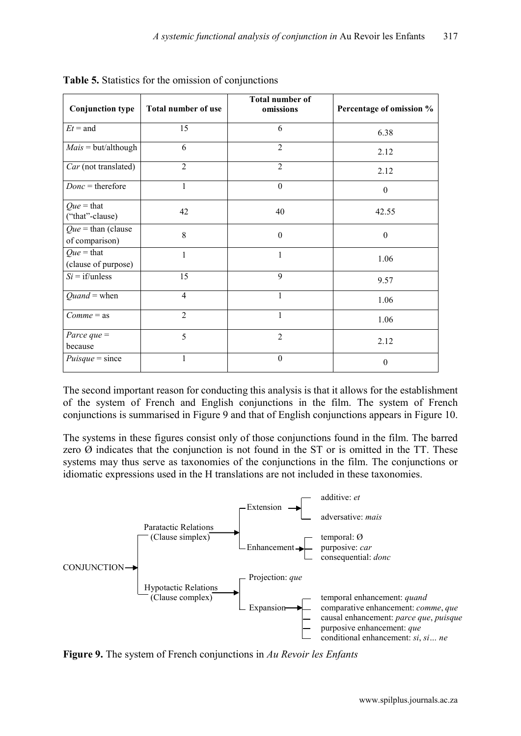| <b>Conjunction type</b>                        | Total number of use | <b>Total number of</b><br>omissions | Percentage of omission % |
|------------------------------------------------|---------------------|-------------------------------------|--------------------------|
| $Et =$ and                                     | 15                  | 6                                   | 6.38                     |
| $Mais = but/although$                          | 6                   | $\overline{2}$                      | 2.12                     |
| Car (not translated)                           | $\overline{2}$      | $\overline{2}$                      | 2.12                     |
| $Donc =$ therefore                             | 1                   | $\mathbf{0}$                        | $\theta$                 |
| $Que = that$<br>("that"-clause)                | 42                  | 40                                  | 42.55                    |
| $Que = \text{than (clause)}$<br>of comparison) | 8                   | $\theta$                            | $\theta$                 |
| $Que = that$<br>(clause of purpose)            | 1                   | 1                                   | 1.06                     |
| $Si = if/unless$                               | 15                  | 9                                   | 9.57                     |
| $Quand = when$                                 | $\overline{4}$      | 1                                   | 1.06                     |
| $Comme = as$                                   | $\overline{2}$      | 1                                   | 1.06                     |
| Parce que $=$<br>because                       | 5                   | $\overline{2}$                      | 2.12                     |
| $Puisque = since$                              | 1                   | $\theta$                            | $\theta$                 |

**Table 5.** Statistics for the omission of conjunctions

The second important reason for conducting this analysis is that it allows for the establishment of the system of French and English conjunctions in the film. The system of French conjunctions is summarised in Figure 9 and that of English conjunctions appears in Figure 10.

The systems in these figures consist only of those conjunctions found in the film. The barred zero  $\emptyset$  indicates that the conjunction is not found in the ST or is omitted in the TT. These systems may thus serve as taxonomies of the conjunctions in the film. The conjunctions or idiomatic expressions used in the H translations are not included in these taxonomies.



**Figure 9.** The system of French conjunctions in *Au Revoir les Enfants*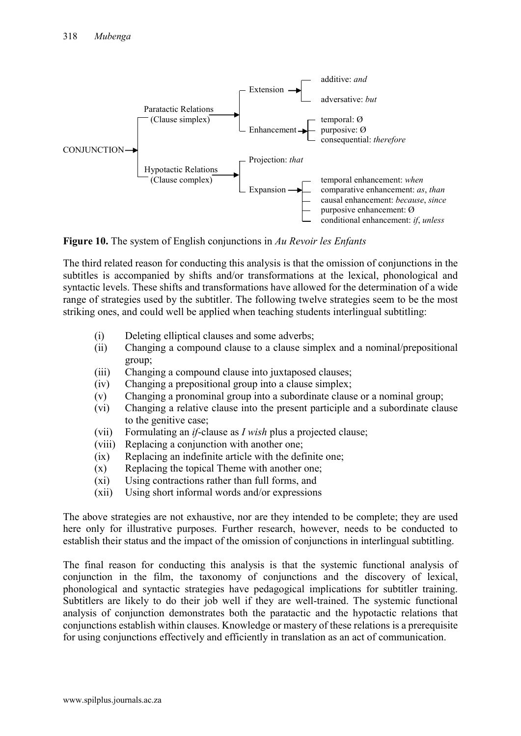

**Figure 10.** The system of English conjunctions in *Au Revoir les Enfants*

The third related reason for conducting this analysis is that the omission of conjunctions in the subtitles is accompanied by shifts and/or transformations at the lexical, phonological and syntactic levels. These shifts and transformations have allowed for the determination of a wide range of strategies used by the subtitler. The following twelve strategies seem to be the most striking ones, and could well be applied when teaching students interlingual subtitling:

- (i) Deleting elliptical clauses and some adverbs;
- (ii) Changing a compound clause to a clause simplex and a nominal/prepositional group;
- (iii) Changing a compound clause into juxtaposed clauses;
- (iv) Changing a prepositional group into a clause simplex;
- (v) Changing a pronominal group into a subordinate clause or a nominal group;
- (vi) Changing a relative clause into the present participle and a subordinate clause to the genitive case;
- (vii) Formulating an *if*-clause as *I wish* plus a projected clause;
- (viii) Replacing a conjunction with another one;
- (ix) Replacing an indefinite article with the definite one;
- (x) Replacing the topical Theme with another one;
- (xi) Using contractions rather than full forms, and
- (xii) Using short informal words and/or expressions

The above strategies are not exhaustive, nor are they intended to be complete; they are used here only for illustrative purposes. Further research, however, needs to be conducted to establish their status and the impact of the omission of conjunctions in interlingual subtitling.

The final reason for conducting this analysis is that the systemic functional analysis of conjunction in the film, the taxonomy of conjunctions and the discovery of lexical, phonological and syntactic strategies have pedagogical implications for subtitler training. Subtitlers are likely to do their job well if they are well-trained. The systemic functional analysis of conjunction demonstrates both the paratactic and the hypotactic relations that conjunctions establish within clauses. Knowledge or mastery of these relations is a prerequisite for using conjunctions effectively and efficiently in translation as an act of communication.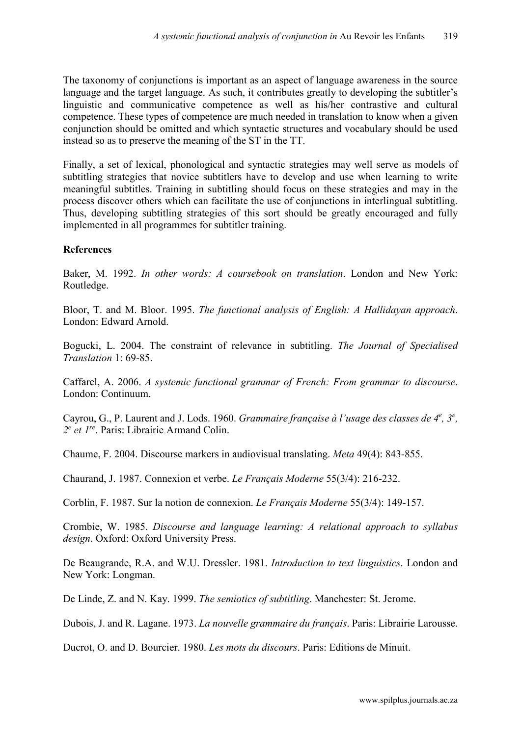The taxonomy of conjunctions is important as an aspect of language awareness in the source language and the target language. As such, it contributes greatly to developing the subtitler's linguistic and communicative competence as well as his/her contrastive and cultural competence. These types of competence are much needed in translation to know when a given conjunction should be omitted and which syntactic structures and vocabulary should be used instead so as to preserve the meaning of the ST in the TT.

Finally, a set of lexical, phonological and syntactic strategies may well serve as models of subtitling strategies that novice subtitlers have to develop and use when learning to write meaningful subtitles. Training in subtitling should focus on these strategies and may in the process discover others which can facilitate the use of conjunctions in interlingual subtitling. Thus, developing subtitling strategies of this sort should be greatly encouraged and fully implemented in all programmes for subtitler training.

## **References**

Baker, M. 1992. *In other words: A coursebook on translation*. London and New York: Routledge.

Bloor, T. and M. Bloor. 1995. *The functional analysis of English: A Hallidayan approach*. London: Edward Arnold.

Bogucki, L. 2004. The constraint of relevance in subtitling. *The Journal of Specialised Translation* 1: 69-85.

Caffarel, A. 2006. *A systemic functional grammar of French: From grammar to discourse*. London: Continuum.

Cayrou, G., P. Laurent and J. Lods. 1960. *Grammaire française à l'usage des classes de 4<sup>e</sup>, 3<sup>e</sup>, 2e et 1re*. Paris: Librairie Armand Colin.

Chaume, F. 2004. Discourse markers in audiovisual translating. *Meta* 49(4): 843-855.

Chaurand, J. 1987. Connexion et verbe. *Le Français Moderne* 55(3/4): 216-232.

Corblin, F. 1987. Sur la notion de connexion. *Le Français Moderne* 55(3/4): 149-157.

Crombie, W. 1985. *Discourse and language learning: A relational approach to syllabus design*. Oxford: Oxford University Press.

De Beaugrande, R.A. and W.U. Dressler. 1981. *Introduction to text linguistics*. London and New York: Longman.

De Linde, Z. and N. Kay. 1999. *The semiotics of subtitling*. Manchester: St. Jerome.

Dubois, J. and R. Lagane. 1973. *La nouvelle grammaire du français*. Paris: Librairie Larousse.

Ducrot, O. and D. Bourcier. 1980. *Les mots du discours*. Paris: Editions de Minuit.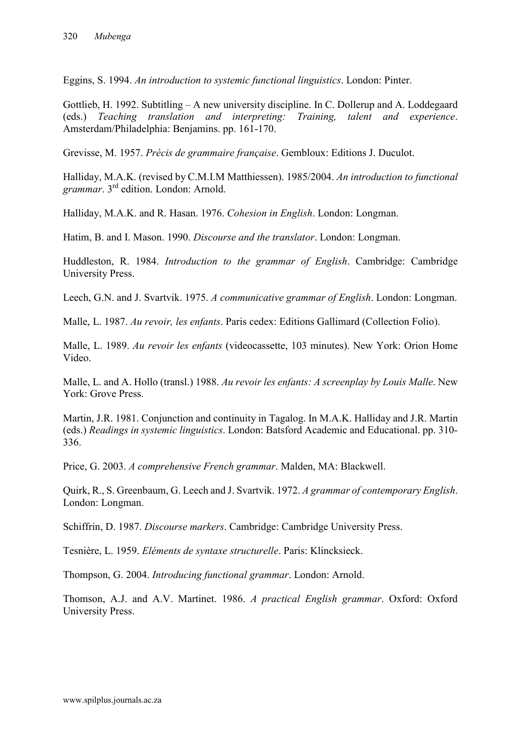Eggins, S. 1994. *An introduction to systemic functional linguistics*. London: Pinter.

Gottlieb, H. 1992. Subtitling – A new university discipline. In C. Dollerup and A. Loddegaard (eds.) *Teaching translation and interpreting: Training, talent and experience*. Amsterdam/Philadelphia: Benjamins. pp. 161-170.

Grevisse, M. 1957. *Précis de grammaire française*. Gembloux: Editions J. Duculot.

Halliday, M.A.K. (revised by C.M.I.M Matthiessen). 1985/2004. *An introduction to functional grammar*. 3rd edition. London: Arnold.

Halliday, M.A.K. and R. Hasan. 1976. *Cohesion in English*. London: Longman.

Hatim, B. and I. Mason. 1990. *Discourse and the translator*. London: Longman.

Huddleston, R. 1984. *Introduction to the grammar of English*. Cambridge: Cambridge University Press.

Leech, G.N. and J. Svartvik. 1975. *A communicative grammar of English*. London: Longman.

Malle, L. 1987. *Au revoir, les enfants*. Paris cedex: Editions Gallimard (Collection Folio).

Malle, L. 1989. *Au revoir les enfants* (videocassette, 103 minutes). New York: Orion Home Video.

Malle, L. and A. Hollo (transl.) 1988. *Au revoir les enfants: A screenplay by Louis Malle*. New York: Grove Press.

Martin, J.R. 1981. Conjunction and continuity in Tagalog. In M.A.K. Halliday and J.R. Martin (eds.) *Readings in systemic linguistics*. London: Batsford Academic and Educational. pp. 310- 336.

Price, G. 2003. *A comprehensive French grammar*. Malden, MA: Blackwell.

Quirk, R., S. Greenbaum, G. Leech and J. Svartvik. 1972. *A grammar of contemporary English*. London: Longman.

Schiffrin, D. 1987. *Discourse markers*. Cambridge: Cambridge University Press.

Tesnière, L. 1959. *Eléments de syntaxe structurelle*. Paris: Klincksieck.

Thompson, G. 2004. *Introducing functional grammar*. London: Arnold.

Thomson, A.J. and A.V. Martinet. 1986. *A practical English grammar*. Oxford: Oxford University Press.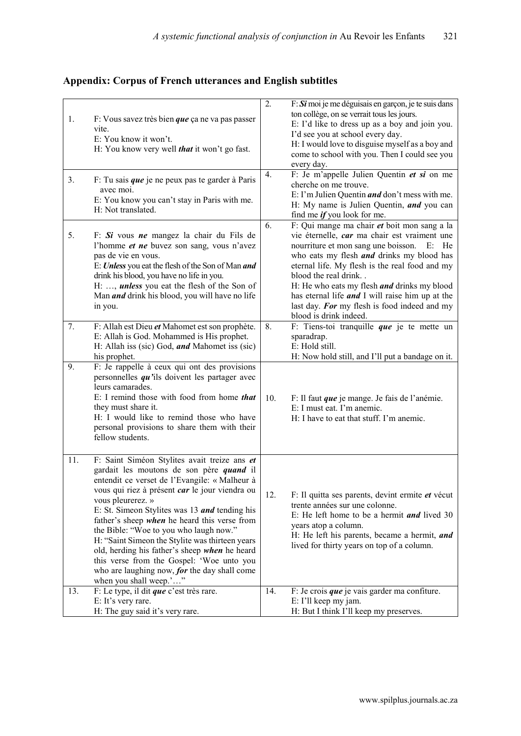# **Appendix: Corpus of French utterances and English subtitles**

| 1.<br>3. | F: Vous savez très bien que ça ne va pas passer<br>vite.<br>E: You know it won't.<br>H: You know very well <i>that</i> it won't go fast.<br>F: Tu sais que je ne peux pas te garder à Paris<br>avec moi.<br>E: You know you can't stay in Paris with me.<br>H: Not translated.                                                                                                                                                                                                                                                                                                         | 2.<br>4. | $F: S\mathbf{i}$ moi je me déguisais en garçon, je te suis dans<br>ton collège, on se verrait tous les jours.<br>E: I'd like to dress up as a boy and join you.<br>I'd see you at school every day.<br>H: I would love to disguise myself as a boy and<br>come to school with you. Then I could see you<br>every day.<br>F: Je m'appelle Julien Quentin et si on me<br>cherche on me trouve.<br>E: I'm Julien Quentin <i>and</i> don't mess with me.<br>H: My name is Julien Quentin, and you can<br>find me <i>if</i> you look for me. |
|----------|----------------------------------------------------------------------------------------------------------------------------------------------------------------------------------------------------------------------------------------------------------------------------------------------------------------------------------------------------------------------------------------------------------------------------------------------------------------------------------------------------------------------------------------------------------------------------------------|----------|-----------------------------------------------------------------------------------------------------------------------------------------------------------------------------------------------------------------------------------------------------------------------------------------------------------------------------------------------------------------------------------------------------------------------------------------------------------------------------------------------------------------------------------------|
| 5.       | F: Si vous ne mangez la chair du Fils de<br>l'homme et ne buvez son sang, vous n'avez<br>pas de vie en vous.<br>E: Unless you eat the flesh of the Son of Man and<br>drink his blood, you have no life in you.<br>H: , <i>unless</i> you eat the flesh of the Son of<br>Man <i>and</i> drink his blood, you will have no life<br>in you.                                                                                                                                                                                                                                               | 6.       | F: Qui mange ma chair et boit mon sang a la<br>vie éternelle, car ma chair est vraiment une<br>nourriture et mon sang une boisson.<br>$E:$ He<br>who eats my flesh <i>and</i> drinks my blood has<br>eternal life. My flesh is the real food and my<br>blood the real drink<br>H: He who eats my flesh <i>and</i> drinks my blood<br>has eternal life <i>and</i> I will raise him up at the<br>last day. For my flesh is food indeed and my<br>blood is drink indeed.                                                                   |
| 7.       | F: Allah est Dieu et Mahomet est son prophète.<br>E: Allah is God. Mohammed is His prophet.<br>H: Allah iss (sic) God, and Mahomet iss (sic)<br>his prophet.                                                                                                                                                                                                                                                                                                                                                                                                                           | 8.       | F: Tiens-toi tranquille que je te mette un<br>sparadrap.<br>E: Hold still.<br>H: Now hold still, and I'll put a bandage on it.                                                                                                                                                                                                                                                                                                                                                                                                          |
| 9.       | F: Je rappelle à ceux qui ont des provisions<br>personnelles $qu$ 'ils doivent les partager avec<br>leurs camarades.<br>E: I remind those with food from home that<br>they must share it.<br>H: I would like to remind those who have<br>personal provisions to share them with their<br>fellow students.                                                                                                                                                                                                                                                                              | 10.      | F: Il faut que je mange. Je fais de l'anémie.<br>E: I must eat. I'm anemic.<br>H: I have to eat that stuff. I'm anemic.                                                                                                                                                                                                                                                                                                                                                                                                                 |
| 11.      | F: Saint Siméon Stylites avait treize ans et<br>gardait les moutons de son père quand il<br>entendit ce verset de l'Evangile: « Malheur à<br>vous qui riez à présent car le jour viendra ou<br>vous pleurerez. »<br>E: St. Simeon Stylites was 13 and tending his<br>father's sheep when he heard this verse from<br>the Bible: "Woe to you who laugh now."<br>H: "Saint Simeon the Stylite was thirteen years<br>old, herding his father's sheep when he heard<br>this verse from the Gospel: 'Woe unto you<br>who are laughing now, for the day shall come<br>when you shall weep.'" | 12.      | F: Il quitta ses parents, devint ermite et vécut<br>trente années sur une colonne.<br>E: He left home to be a hermit and lived $30$<br>years atop a column.<br>H: He left his parents, became a hermit, and<br>lived for thirty years on top of a column.                                                                                                                                                                                                                                                                               |
| 13.      | F: Le type, il dit que c'est très rare.<br>E: It's very rare.<br>H: The guy said it's very rare.                                                                                                                                                                                                                                                                                                                                                                                                                                                                                       | 14.      | F: Je crois que je vais garder ma confiture.<br>E: I'll keep my jam.<br>H: But I think I'll keep my preserves.                                                                                                                                                                                                                                                                                                                                                                                                                          |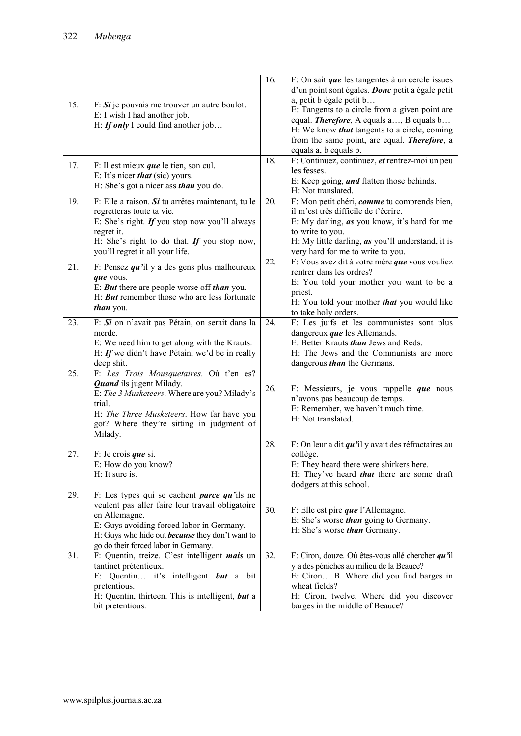|     |                                                                                                                                                                                                                                                                        | 16. | F: On sait que les tangentes à un cercle issues                                                                                                                                                                                                                                                                            |
|-----|------------------------------------------------------------------------------------------------------------------------------------------------------------------------------------------------------------------------------------------------------------------------|-----|----------------------------------------------------------------------------------------------------------------------------------------------------------------------------------------------------------------------------------------------------------------------------------------------------------------------------|
| 15. | $F: S_i$ je pouvais me trouver un autre boulot.<br>E: I wish I had another job.<br>H: If only I could find another job                                                                                                                                                 |     | d'un point sont égales. Donc petit a égale petit<br>a, petit b égale petit b<br>E: Tangents to a circle from a given point are<br>equal. <i>Therefore</i> , A equals a, B equals b<br>H: We know <i>that</i> tangents to a circle, coming<br>from the same point, are equal. <b>Therefore</b> , a<br>equals a, b equals b. |
| 17. | F: Il est mieux <i>que</i> le tien, son cul.<br>E: It's nicer <i>that</i> (sic) yours.<br>H: She's got a nicer ass <i>than</i> you do.                                                                                                                                 | 18. | F: Continuez, continuez, et rentrez-moi un peu<br>les fesses.<br>E: Keep going, <i>and</i> flatten those behinds.<br>H: Not translated.                                                                                                                                                                                    |
| 19. | $F:$ Elle a raison. Si tu arrêtes maintenant, tu le<br>regretteras toute ta vie.<br>E: She's right. If you stop now you'll always<br>regret it.<br>H: She's right to do that. If you stop now,<br>you'll regret it all your life.                                      | 20. | F: Mon petit chéri, comme tu comprends bien,<br>il m'est très difficile de t'écrire.<br>E: My darling, <i>as</i> you know, it's hard for me<br>to write to you.<br>H: My little darling, <i>as</i> you'll understand, it is<br>very hard for me to write to you.                                                           |
| 21. | F: Pensez $qu$ 'il y a des gens plus malheureux<br>que vous.<br>E: But there are people worse off than you.<br>H: <b>But</b> remember those who are less fortunate<br><i>than</i> you.                                                                                 | 22. | F: Vous avez dit à votre mère que vous vouliez<br>rentrer dans les ordres?<br>E: You told your mother you want to be a<br>priest.<br>H: You told your mother <i>that</i> you would like<br>to take holy orders.                                                                                                            |
| 23. | F: Si on n'avait pas Pétain, on serait dans la<br>merde.<br>E: We need him to get along with the Krauts.<br>H: If we didn't have Pétain, we'd be in really<br>deep shit.                                                                                               | 24. | F: Les juifs et les communistes sont plus<br>dangereux $que$ les Allemands.<br>E: Better Krauts <i>than</i> Jews and Reds.<br>H: The Jews and the Communists are more<br>dangerous <i>than</i> the Germans.                                                                                                                |
| 25. | F: Les Trois Mousquetaires. Où t'en es?<br><b>Quand</b> ils jugent Milady.<br>E: The 3 Musketeers. Where are you? Milady's<br>trial.<br>H: The Three Musketeers. How far have you<br>got? Where they're sitting in judgment of<br>Milady.                              | 26. | F: Messieurs, je vous rappelle que nous<br>n'avons pas beaucoup de temps.<br>E: Remember, we haven't much time.<br>H: Not translated.                                                                                                                                                                                      |
| 27. | $F:$ Je crois que si.<br>E: How do you know?<br>H: It sure is.                                                                                                                                                                                                         | 28. | F: On leur a dit $qu$ 'il y avait des réfractaires au<br>collège.<br>E: They heard there were shirkers here.<br>H: They've heard <i>that</i> there are some draft<br>dodgers at this school.                                                                                                                               |
| 29. | F: Les types qui se cachent <i>parce qu'ils</i> ne<br>veulent pas aller faire leur travail obligatoire<br>en Allemagne.<br>E: Guys avoiding forced labor in Germany.<br>H: Guys who hide out <b>because</b> they don't want to<br>go do their forced labor in Germany. | 30. | F: Elle est pire <i>que</i> l'Allemagne.<br>E: She's worse <i>than</i> going to Germany.<br>H: She's worse <i>than</i> Germany.                                                                                                                                                                                            |
| 31. | F: Quentin, treize. C'est intelligent mais un<br>tantinet prétentieux.<br>E: Quentin it's intelligent but a bit<br>pretentious.<br>H: Quentin, thirteen. This is intelligent, but a<br>bit pretentious.                                                                | 32. | F: Ciron, douze. Où êtes-vous allé chercher $qu$ 'il<br>y a des péniches au milieu de la Beauce?<br>E: Ciron B. Where did you find barges in<br>wheat fields?<br>H: Ciron, twelve. Where did you discover<br>barges in the middle of Beauce?                                                                               |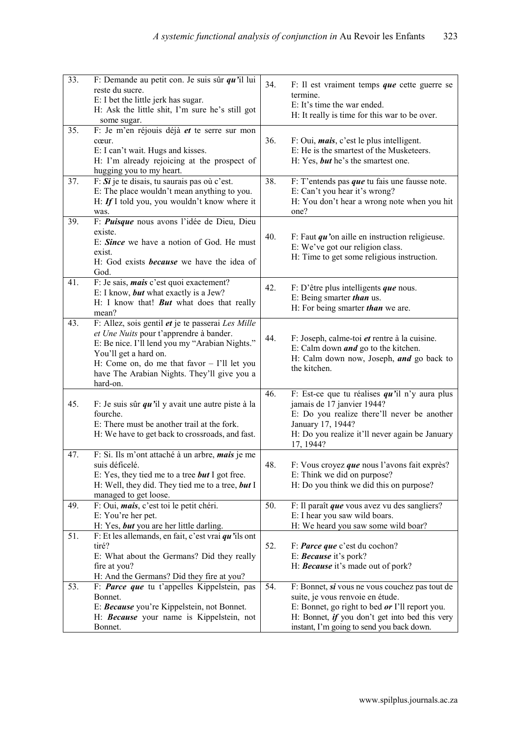| 33. | F: Demande au petit con. Je suis sûr $qu$ 'il lui<br>reste du sucre.<br>E: I bet the little jerk has sugar.<br>H: Ask the little shit, I'm sure he's still got<br>some sugar.                                                                                                       | 34. | F: Il est vraiment temps <i>que</i> cette guerre se<br>termine.<br>E: It's time the war ended.<br>H: It really is time for this war to be over.                                                                                     |
|-----|-------------------------------------------------------------------------------------------------------------------------------------------------------------------------------------------------------------------------------------------------------------------------------------|-----|-------------------------------------------------------------------------------------------------------------------------------------------------------------------------------------------------------------------------------------|
| 35. | F: Je m'en réjouis déjà et te serre sur mon<br>cœur.<br>E: I can't wait. Hugs and kisses.<br>H: I'm already rejoicing at the prospect of<br>hugging you to my heart.                                                                                                                | 36. | $F:$ Oui, <i>mais</i> , c'est le plus intelligent.<br>E: He is the smartest of the Musketeers.<br>H: Yes, but he's the smartest one.                                                                                                |
| 37. | $F: Si$ je te disais, tu saurais pas où c'est.<br>E: The place wouldn't mean anything to you.<br>H: If I told you, you wouldn't know where it<br>was.                                                                                                                               | 38. | $F: T'$ entends pas <i>que</i> tu fais une fausse note.<br>E: Can't you hear it's wrong?<br>H: You don't hear a wrong note when you hit<br>one?                                                                                     |
| 39. | F: Puisque nous avons l'idée de Dieu, Dieu<br>existe.<br>E: Since we have a notion of God. He must<br>exist.<br>H: God exists <b>because</b> we have the idea of<br>God.                                                                                                            | 40. | F: Faut $qu$ 'on aille en instruction religieuse.<br>E: We've got our religion class.<br>H: Time to get some religious instruction.                                                                                                 |
| 41. | F: Je sais, <i>mais</i> c'est quoi exactement?<br>E: I know, but what exactly is a Jew?<br>H: I know that! <b>But</b> what does that really<br>mean?                                                                                                                                | 42. | F: D'être plus intelligents que nous.<br>E: Being smarter than us.<br>H: For being smarter <i>than</i> we are.                                                                                                                      |
| 43. | F: Allez, sois gentil et je te passerai Les Mille<br>et Une Nuits pour t'apprendre à bander.<br>E: Be nice. I'll lend you my "Arabian Nights."<br>You'll get a hard on.<br>H: Come on, do me that favor $-$ I'll let you<br>have The Arabian Nights. They'll give you a<br>hard-on. | 44. | F: Joseph, calme-toi et rentre à la cuisine.<br>E: Calm down <i>and</i> go to the kitchen.<br>H: Calm down now, Joseph, and go back to<br>the kitchen.                                                                              |
| 45. | F: Je suis sûr $qu$ 'il y avait une autre piste à la<br>fourche.<br>E: There must be another trail at the fork.<br>H: We have to get back to crossroads, and fast.                                                                                                                  | 46. | F: Est-ce que tu réalises $qu$ 'il n'y aura plus<br>jamais de 17 janvier 1944?<br>E: Do you realize there'll never be another<br>January 17, 1944?<br>H: Do you realize it'll never again be January<br>17, 1944?                   |
| 47. | F: Si. Ils m'ont attaché à un arbre, mais je me<br>suis déficelé.<br>E: Yes, they tied me to a tree $but I$ got free.<br>H: Well, they did. They tied me to a tree, but I<br>managed to get loose.                                                                                  | 48. | F: Vous croyez que nous l'avons fait exprès?<br>E: Think we did on purpose?<br>H: Do you think we did this on purpose?                                                                                                              |
| 49. | F: Oui, <i>mais</i> , c'est toi le petit chéri.<br>E: You're her pet.<br>H: Yes, but you are her little darling.                                                                                                                                                                    | 50. | F: Il paraît que vous avez vu des sangliers?<br>E: I hear you saw wild boars.<br>H: We heard you saw some wild boar?                                                                                                                |
| 51. | F: Et les allemands, en fait, c'est vrai $qu$ 'ils ont<br>tiré?<br>E: What about the Germans? Did they really<br>fire at you?<br>H: And the Germans? Did they fire at you?                                                                                                          | 52. | F: <i>Parce que</i> c'est du cochon?<br>E: Because it's pork?<br>H: <b>Because</b> it's made out of pork?                                                                                                                           |
| 53. | F: Parce que tu t'appelles Kippelstein, pas<br>Bonnet.<br>E: Because you're Kippelstein, not Bonnet.<br>H: Because your name is Kippelstein, not<br>Bonnet.                                                                                                                         | 54. | F: Bonnet, si vous ne vous couchez pas tout de<br>suite, je vous renvoie en étude.<br>E: Bonnet, go right to bed or I'll report you.<br>H: Bonnet, if you don't get into bed this very<br>instant, I'm going to send you back down. |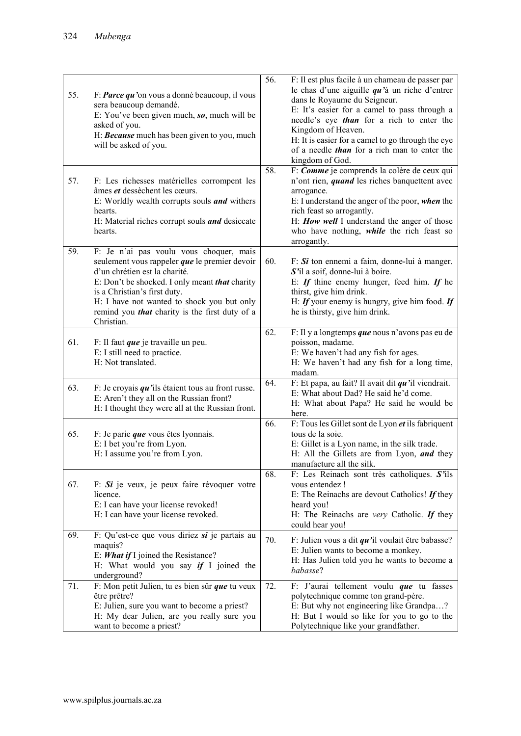| 55.<br>57. | F: Parce qu'on vous a donné beaucoup, il vous<br>sera beaucoup demandé.<br>E: You've been given much, $so$ , much will be<br>asked of you.<br>H: Because much has been given to you, much<br>will be asked of you.<br>F: Les richesses matérielles corrompent les<br>âmes et dessèchent les cœurs.<br>E: Worldly wealth corrupts souls <i>and</i> withers<br>hearts.<br>H: Material riches corrupt souls and desiccate<br>hearts. | 56.<br>58. | F: Il est plus facile à un chameau de passer par<br>le chas d'une aiguille $qu$ 'à un riche d'entrer<br>dans le Royaume du Seigneur.<br>E: It's easier for a camel to pass through a<br>needle's eye than for a rich to enter the<br>Kingdom of Heaven.<br>H: It is easier for a camel to go through the eye<br>of a needle <i>than</i> for a rich man to enter the<br>kingdom of God.<br>F: Comme je comprends la colère de ceux qui<br>n'ont rien, <i>quand</i> les riches banquettent avec<br>arrogance.<br>E: I understand the anger of the poor, when the<br>rich feast so arrogantly.<br>H: How well I understand the anger of those<br>who have nothing, while the rich feast so<br>arrogantly. |
|------------|-----------------------------------------------------------------------------------------------------------------------------------------------------------------------------------------------------------------------------------------------------------------------------------------------------------------------------------------------------------------------------------------------------------------------------------|------------|--------------------------------------------------------------------------------------------------------------------------------------------------------------------------------------------------------------------------------------------------------------------------------------------------------------------------------------------------------------------------------------------------------------------------------------------------------------------------------------------------------------------------------------------------------------------------------------------------------------------------------------------------------------------------------------------------------|
| 59.        | F: Je n'ai pas voulu vous choquer, mais<br>seulement vous rappeler que le premier devoir<br>d'un chrétien est la charité.<br>E: Don't be shocked. I only meant that charity<br>is a Christian's first duty.<br>H: I have not wanted to shock you but only<br>remind you <i>that</i> charity is the first duty of a<br>Christian.                                                                                                  | 60.        | $F: Si$ ton ennemi a faim, donne-lui à manger.<br>S'il a soif, donne-lui à boire.<br>E: If thine enemy hunger, feed him. If he<br>thirst, give him drink.<br>H: If your enemy is hungry, give him food. If<br>he is thirsty, give him drink.                                                                                                                                                                                                                                                                                                                                                                                                                                                           |
| 61.        | F: Il faut <i>que</i> je travaille un peu.<br>E: I still need to practice.<br>H: Not translated.                                                                                                                                                                                                                                                                                                                                  | 62.        | F: Il y a longtemps que nous n'avons pas eu de<br>poisson, madame.<br>E: We haven't had any fish for ages.<br>H: We haven't had any fish for a long time,<br>madam.                                                                                                                                                                                                                                                                                                                                                                                                                                                                                                                                    |
| 63.        | F: Je croyais $qu$ 'ils étaient tous au front russe.<br>E: Aren't they all on the Russian front?<br>H: I thought they were all at the Russian front.                                                                                                                                                                                                                                                                              | 64.        | F: Et papa, au fait? Il avait dit $qu$ 'il viendrait.<br>E: What about Dad? He said he'd come.<br>H: What about Papa? He said he would be<br>here.                                                                                                                                                                                                                                                                                                                                                                                                                                                                                                                                                     |
| 65.        | F: Je parie que vous êtes lyonnais.<br>E: I bet you're from Lyon.<br>H: I assume you're from Lyon.                                                                                                                                                                                                                                                                                                                                | 66.        | F: Tous les Gillet sont de Lyon et ils fabriquent<br>tous de la soie.<br>E: Gillet is a Lyon name, in the silk trade.<br>H: All the Gillets are from Lyon, and they<br>manufacture all the silk.                                                                                                                                                                                                                                                                                                                                                                                                                                                                                                       |
| 67.        | F: $Si$ je veux, je peux faire révoquer votre<br>licence.<br>E: I can have your license revoked!<br>H: I can have your license revoked.                                                                                                                                                                                                                                                                                           | 68.        | F: Les Reinach sont très catholiques. $S'$ ils<br>vous entendez!<br>E: The Reinachs are devout Catholics! If they<br>heard you!<br>H: The Reinachs are <i>very</i> Catholic. If they<br>could hear you!                                                                                                                                                                                                                                                                                                                                                                                                                                                                                                |
| 69.        | F: Qu'est-ce que vous diriez $si$ je partais au<br>maquis?<br>E: <i>What if</i> I joined the Resistance?<br>H: What would you say $if I$ joined the<br>underground?                                                                                                                                                                                                                                                               | 70.        | F: Julien vous a dit $qu$ 'il voulait être babasse?<br>E: Julien wants to become a monkey.<br>H: Has Julien told you he wants to become a<br>babasse?                                                                                                                                                                                                                                                                                                                                                                                                                                                                                                                                                  |
| 71.        | F: Mon petit Julien, tu es bien sûr que tu veux<br>être prêtre?<br>E: Julien, sure you want to become a priest?<br>H: My dear Julien, are you really sure you<br>want to become a priest?                                                                                                                                                                                                                                         | 72.        | F: J'aurai tellement voulu que tu fasses<br>polytechnique comme ton grand-père.<br>E: But why not engineering like Grandpa?<br>H: But I would so like for you to go to the<br>Polytechnique like your grandfather.                                                                                                                                                                                                                                                                                                                                                                                                                                                                                     |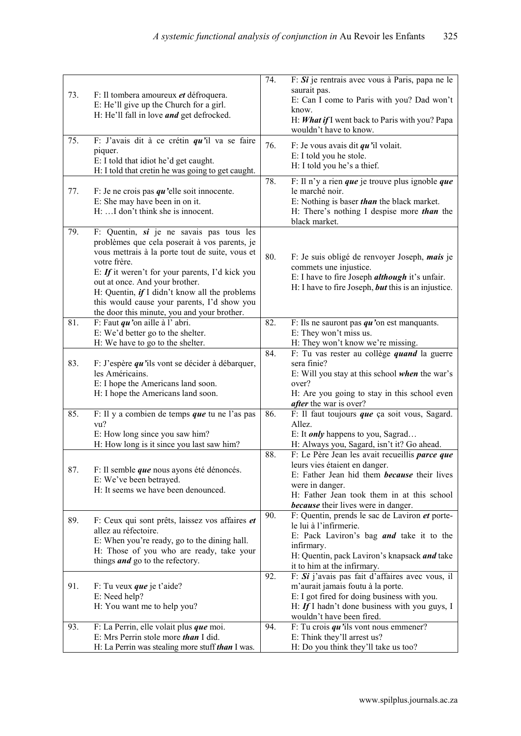| 73. | F: Il tombera amoureux et défroquera.<br>E: He'll give up the Church for a girl.<br>H: He'll fall in love and get defrocked.                                                                                                                                                                                                                                                                     | 74. | F: $Si$ je rentrais avec vous à Paris, papa ne le<br>saurait pas.<br>E: Can I come to Paris with you? Dad won't<br>know.<br>H: What if I went back to Paris with you? Papa<br>wouldn't have to know.                                                 |
|-----|--------------------------------------------------------------------------------------------------------------------------------------------------------------------------------------------------------------------------------------------------------------------------------------------------------------------------------------------------------------------------------------------------|-----|------------------------------------------------------------------------------------------------------------------------------------------------------------------------------------------------------------------------------------------------------|
| 75. | F: J'avais dit à ce crétin $qu$ 'il va se faire<br>piquer.<br>E: I told that idiot he'd get caught.<br>H: I told that cretin he was going to get caught.                                                                                                                                                                                                                                         | 76. | F: Je vous avais dit $qu$ 'il volait.<br>E: I told you he stole.<br>H: I told you he's a thief.                                                                                                                                                      |
| 77. | F: Je ne crois pas $qu$ 'elle soit innocente.<br>E: She may have been in on it.<br>H: I don't think she is innocent.                                                                                                                                                                                                                                                                             | 78. | F: Il n'y a rien que je trouve plus ignoble que<br>le marché noir.<br>E: Nothing is baser than the black market.<br>H: There's nothing I despise more <i>than</i> the<br>black market.                                                               |
| 79. | F: Quentin, si je ne savais pas tous les<br>problèmes que cela poserait à vos parents, je<br>vous mettrais à la porte tout de suite, vous et<br>votre frère.<br>E: If it weren't for your parents, I'd kick you<br>out at once. And your brother.<br>H: Quentin, if I didn't know all the problems<br>this would cause your parents, I'd show you<br>the door this minute, you and your brother. | 80. | F: Je suis obligé de renvoyer Joseph, mais je<br>commets une injustice.<br>E: I have to fire Joseph <i>although</i> it's unfair.<br>H: I have to fire Joseph, <i>but</i> this is an injustice.                                                       |
| 81. | F: Faut $qu$ 'on aille à l'abri.<br>E: We'd better go to the shelter.<br>H: We have to go to the shelter.                                                                                                                                                                                                                                                                                        | 82. | F: Ils ne sauront pas $qu$ 'on est manquants.<br>E: They won't miss us.<br>H: They won't know we're missing.                                                                                                                                         |
| 83. | F: J'espère $qu$ 'ils vont se décider à débarquer,<br>les Américains.<br>E: I hope the Americans land soon.<br>H: I hope the Americans land soon.                                                                                                                                                                                                                                                | 84. | F: Tu vas rester au collège <i>quand</i> la guerre<br>sera finie?<br>E: Will you stay at this school when the war's<br>over?<br>H: Are you going to stay in this school even<br><i>after</i> the war is over?                                        |
| 85. | F: Il y a combien de temps que tu ne l'as pas<br>vu?<br>E: How long since you saw him?<br>H: How long is it since you last saw him?                                                                                                                                                                                                                                                              | 86. | F: Il faut toujours que ça soit vous, Sagard.<br>Allez.<br>E: It <i>only</i> happens to you, Sagrad<br>H: Always you, Sagard, isn't it? Go ahead.                                                                                                    |
| 87. | F: Il semble <i>que</i> nous ayons été dénoncés.<br>E: We've been betrayed.<br>H: It seems we have been denounced.                                                                                                                                                                                                                                                                               | 88. | F: Le Père Jean les avait recueillis parce que<br>leurs vies étaient en danger.<br>E: Father Jean hid them <i>because</i> their lives<br>were in danger.<br>H: Father Jean took them in at this school<br><b>because</b> their lives were in danger. |
| 89. | F: Ceux qui sont prêts, laissez vos affaires et<br>allez au réfectoire.<br>E: When you're ready, go to the dining hall.<br>H: Those of you who are ready, take your<br>things <i>and</i> go to the refectory.                                                                                                                                                                                    | 90. | F: Quentin, prends le sac de Laviron et porte-<br>le lui à l'infirmerie.<br>E: Pack Laviron's bag <i>and</i> take it to the<br>infirmary.<br>H: Quentin, pack Laviron's knapsack and take<br>it to him at the infirmary.                             |
| 91. | F: Tu veux <i>que</i> je t'aide?<br>E: Need help?<br>H: You want me to help you?                                                                                                                                                                                                                                                                                                                 | 92. | F: Si j'avais pas fait d'affaires avec vous, il<br>m'aurait jamais foutu à la porte.<br>E: I got fired for doing business with you.<br>H: If I hadn't done business with you guys, I<br>wouldn't have been fired.                                    |
| 93. | F: La Perrin, elle volait plus que moi.<br>E: Mrs Perrin stole more than I did.<br>H: La Perrin was stealing more stuff <i>than</i> I was.                                                                                                                                                                                                                                                       | 94. | F: Tu crois $qu$ 'ils vont nous emmener?<br>E: Think they'll arrest us?<br>H: Do you think they'll take us too?                                                                                                                                      |